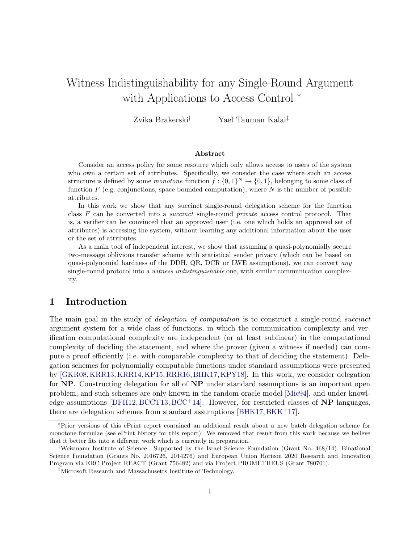# Witness Indistinguishability for any Single-Round Argument with Applications to Access Control <sup>∗</sup>

Zvika Brakerski† Yael Tauman Kalai‡

#### Abstract

Consider an access policy for some resource which only allows access to users of the system who own a certain set of attributes. Specifically, we consider the case where such an access structure is defined by some monotone function  $f: \{0,1\}^N \to \{0,1\}$ , belonging to some class of function  $F$  (e.g. conjunctions, space bounded computation), where  $N$  is the number of possible attributes.

In this work we show that any succinct single-round delegation scheme for the function class F can be converted into a succinct single-round private access control protocol. That is, a verifier can be convinced that an approved user (i.e. one which holds an approved set of attributes) is accessing the system, without learning any additional information about the user or the set of attributes.

As a main tool of independent interest, we show that assuming a quasi-polynomially secure two-message oblivious transfer scheme with statistical sender privacy (which can be based on quasi-polynomial hardness of the DDH, QR, DCR or LWE assumptions), we can convert any single-round protocol into a *witness indistinguishable* one, with similar communication complexity.

# 1 Introduction

The main goal in the study of *delegation of computation* is to construct a single-round *succinct* argument system for a wide class of functions, in which the communication complexity and verification computational complexity are independent (or at least sublinear) in the computational complexity of deciding the statement, and where the prover (given a witness if needed) can compute a proof efficiently (i.e. with comparable complexity to that of deciding the statement). Delegation schemes for polynomially computable functions under standard assumptions were presented by [\[GKR08,](#page-23-0)[KRR13,](#page-23-1)[KRR14,](#page-23-2)[KP15,](#page-23-3)[RRR16,](#page-24-0)[BHK17,](#page-22-0)[KPY18\]](#page-23-4). In this work, we consider delegation for NP. Constructing delegation for all of NP under standard assumptions is an important open problem, and such schemes are only known in the random oracle model [\[Mic94\]](#page-23-5), and under knowl-edge assumptions [\[DFH12,](#page-22-1) [BCCT13,](#page-22-2) [BCC](#page-22-3)<sup>+</sup>14]. However, for restricted classes of  $NP$  languages, there are delegation schemes from standard assumptions  $[BHK17, BKK^+17]$  $[BHK17, BKK^+17]$  $[BHK17, BKK^+17]$  $[BHK17, BKK^+17]$ .

<sup>∗</sup>Prior versions of this ePrint report contained an additional result about a new batch delegation scheme for monotone formulae (see ePrint history for this report). We removed that result from this work because we believe that it better fits into a different work which is currently in preparation.

<sup>†</sup>Weizmann Institute of Science. Supported by the Israel Science Foundation (Grant No. 468/14), Binational Science Foundation (Grants No. 2016726, 2014276) and European Union Horizon 2020 Research and Innovation Program via ERC Project REACT (Grant 756482) and via Project PROMETHEUS (Grant 780701).

<sup>‡</sup>Microsoft Research and Massachusetts Institute of Technology.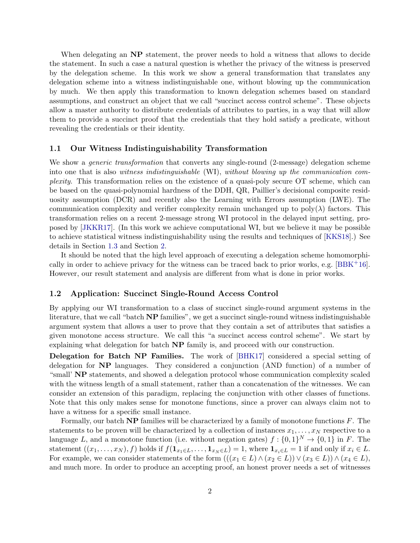When delegating an NP statement, the prover needs to hold a witness that allows to decide the statement. In such a case a natural question is whether the privacy of the witness is preserved by the delegation scheme. In this work we show a general transformation that translates any delegation scheme into a witness indistinguishable one, without blowing up the communication by much. We then apply this transformation to known delegation schemes based on standard assumptions, and construct an object that we call "succinct access control scheme". These objects allow a master authority to distribute credentials of attributes to parties, in a way that will allow them to provide a succinct proof that the credentials that they hold satisfy a predicate, without revealing the credentials or their identity.

### 1.1 Our Witness Indistinguishability Transformation

We show a *generic transformation* that converts any single-round (2-message) delegation scheme into one that is also witness indistinguishable (WI), without blowing up the communication complexity. This transformation relies on the existence of a quasi-poly secure OT scheme, which can be based on the quasi-polynomial hardness of the DDH, QR, Paillier's decisional composite residuosity assumption (DCR) and recently also the Learning with Errors assumption (LWE). The communication complexity and verifier complexity remain unchanged up to  $poly(\lambda)$  factors. This transformation relies on a recent 2-message strong WI protocol in the delayed input setting, proposed by [\[JKKR17\]](#page-23-6). (In this work we achieve computational WI, but we believe it may be possible to achieve statistical witness indistinguishability using the results and techniques of [\[KKS18\]](#page-23-7).) See details in Section [1.3](#page-2-0) and Section [2.](#page-4-0)

It should be noted that the high level approach of executing a delegation scheme homomorphically in order to achieve privacy for the witness can be traced back to prior works, e.g.  $[BBK^+16]$  $[BBK^+16]$ . However, our result statement and analysis are different from what is done in prior works.

#### <span id="page-1-0"></span>1.2 Application: Succinct Single-Round Access Control

By applying our WI transformation to a class of succinct single-round argument systems in the literature, that we call "batch NP families", we get a succinct single-round witness indistinguishable argument system that allows a user to prove that they contain a set of attributes that satisfies a given monotone access structure. We call this "a succinct access control scheme". We start by explaining what delegation for batch NP family is, and proceed with our construction.

Delegation for Batch NP Families. The work of [\[BHK17\]](#page-22-0) considered a special setting of delegation for NP languages. They considered a conjunction (AND function) of a number of "small' NP statements, and showed a delegation protocol whose communication complexity scaled with the witness length of a small statement, rather than a concatenation of the witnesses. We can consider an extension of this paradigm, replacing the conjunction with other classes of functions. Note that this only makes sense for monotone functions, since a prover can always claim not to have a witness for a specific small instance.

Formally, our batch NP families will be characterized by a family of monotone functions F. The statements to be proven will be characterized by a collection of instances  $x_1, \ldots, x_N$  respective to a language L, and a monotone function (i.e. without negation gates)  $f: \{0,1\}^N \to \{0,1\}$  in F. The statement  $((x_1, \ldots, x_N), f)$  holds if  $f(\mathbf{1}_{x_1 \in L}, \ldots, \mathbf{1}_{x_N \in L}) = 1$ , where  $\mathbf{1}_{x_i \in L} = 1$  if and only if  $x_i \in L$ . For example, we can consider statements of the form  $((x_1 \in L) \land (x_2 \in L)) \lor (x_3 \in L)) \land (x_4 \in L),$ and much more. In order to produce an accepting proof, an honest prover needs a set of witnesses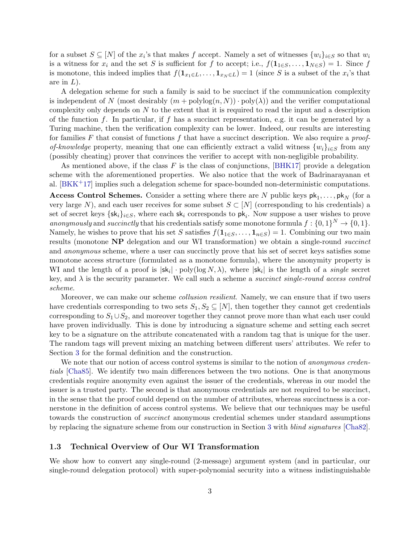for a subset  $S \subseteq [N]$  of the  $x_i$ 's that makes f accept. Namely a set of witnesses  $\{w_i\}_{i \in S}$  so that  $w_i$ is a witness for  $x_i$  and the set S is sufficient for f to accept; i.e.,  $f(\mathbf{1}_{1\in S}, \ldots, \mathbf{1}_{N\in S}) = 1$ . Since f is monotone, this indeed implies that  $f(\mathbf{1}_{x_1\in L},\ldots,\mathbf{1}_{x_N\in L})=1$  (since S is a subset of the  $x_i$ 's that are in  $L$ ).

A delegation scheme for such a family is said to be succinct if the communication complexity is independent of N (most desirably  $(m + \text{polylog}(n, N)) \cdot \text{poly}(\lambda)$ ) and the verifier computational complexity only depends on  $N$  to the extent that it is required to read the input and a description of the function f. In particular, if f has a succinct representation, e.g. it can be generated by a Turing machine, then the verification complexity can be lower. Indeed, our results are interesting for families F that consist of functions f that have a succinct description. We also require a *proof*of-knowledge property, meaning that one can efficiently extract a valid witness  $\{w_i\}_{i\in S}$  from any (possibly cheating) prover that convinces the verifier to accept with non-negligible probability.

As mentioned above, if the class  $F$  is the class of conjunctions, [\[BHK17\]](#page-22-0) provide a delegation scheme with the aforementioned properties. We also notice that the work of Badrinarayanan et al. [\[BKK](#page-22-4)+17] implies such a delegation scheme for space-bounded non-deterministic computations.

Access Control Schemes. Consider a setting where there are N public keys  $pk_1, \ldots, pk_N$  (for a very large N), and each user receives for some subset  $S \subset [N]$  (corresponding to his credentials) a set of secret keys  $\{sk_i\}_{i\in S}$ , where each  $sk_i$  corresponds to  $pk_i$ . Now suppose a user wishes to prove anonymously and succinctly that his credentials satisfy some monotone formula  $f: \{0,1\}^N \to \{0,1\}$ . Namely, he wishes to prove that his set S satisfies  $f(1_{1\in S},..., 1_{n\in S}) = 1$ . Combining our two main results (monotone **NP** delegation and our WI transformation) we obtain a single-round *succinct* and *anonymous* scheme, where a user can succinctly prove that his set of secret keys satisfies some monotone access structure (formulated as a monotone formula), where the anonymity property is WI and the length of a proof is  $|\mathsf{sk}_i| \cdot \text{poly}(\log N, \lambda)$ , where  $|\mathsf{sk}_i|$  is the length of a *single* secret key, and  $\lambda$  is the security parameter. We call such a scheme a *succinct single-round access control* scheme.

Moreover, we can make our scheme *collusion resilient*. Namely, we can ensure that if two users have credentials corresponding to two sets  $S_1, S_2 \subseteq [N]$ , then together they cannot get credentials corresponding to  $S_1 \cup S_2$ , and moreover together they cannot prove more than what each user could have proven individually. This is done by introducing a signature scheme and setting each secret key to be a signature on the attribute concatenated with a random tag that is unique for the user. The random tags will prevent mixing an matching between different users' attributes. We refer to Section [3](#page-15-0) for the formal definition and the construction.

We note that our notion of access control systems is similar to the notion of *anonymous creden*tials [\[Cha85\]](#page-22-6). We identify two main differences between the two notions. One is that anonymous credentials require anonymity even against the issuer of the credentials, whereas in our model the issuer is a trusted party. The second is that anonymous credentials are not required to be succinct, in the sense that the proof could depend on the number of attributes, whereas succinctness is a cornerstone in the definition of access control systems. We believe that our techniques may be useful towards the construction of succinct anonymous credential schemes under standard assumptions by replacing the signature scheme from our construction in Section [3](#page-15-0) with blind signatures [\[Cha82\]](#page-22-7).

#### <span id="page-2-0"></span>1.3 Technical Overview of Our WI Transformation

We show how to convert any single-round (2-message) argument system (and in particular, our single-round delegation protocol) with super-polynomial security into a witness indistinguishable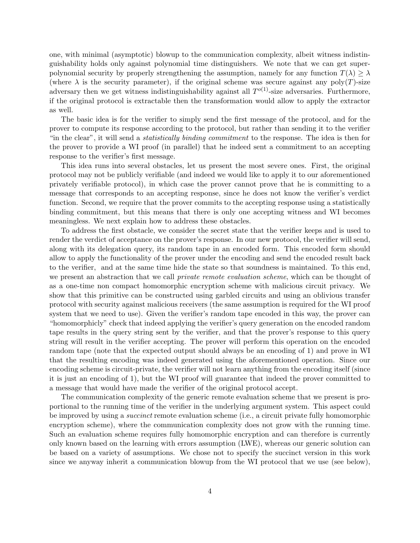one, with minimal (asymptotic) blowup to the communication complexity, albeit witness indistinguishability holds only against polynomial time distinguishers. We note that we can get superpolynomial security by properly strengthening the assumption, namely for any function  $T(\lambda) \geq \lambda$ (where  $\lambda$  is the security parameter), if the original scheme was secure against any poly $(T)$ -size adversary then we get witness indistinguishability against all  $T^{o(1)}$ -size adversaries. Furthermore, if the original protocol is extractable then the transformation would allow to apply the extractor as well.

The basic idea is for the verifier to simply send the first message of the protocol, and for the prover to compute its response according to the protocol, but rather than sending it to the verifier "in the clear", it will send a statistically binding commitment to the response. The idea is then for the prover to provide a WI proof (in parallel) that he indeed sent a commitment to an accepting response to the verifier's first message.

This idea runs into several obstacles, let us present the most severe ones. First, the original protocol may not be publicly verifiable (and indeed we would like to apply it to our aforementioned privately verifiable protocol), in which case the prover cannot prove that he is committing to a message that corresponds to an accepting response, since he does not know the verifier's verdict function. Second, we require that the prover commits to the accepting response using a statistically binding commitment, but this means that there is only one accepting witness and WI becomes meaningless. We next explain how to address these obstacles.

To address the first obstacle, we consider the secret state that the verifier keeps and is used to render the verdict of acceptance on the prover's response. In our new protocol, the verifier will send, along with its delegation query, its random tape in an encoded form. This encoded form should allow to apply the functionality of the prover under the encoding and send the encoded result back to the verifier, and at the same time hide the state so that soundness is maintained. To this end, we present an abstraction that we call *private remote evaluation scheme*, which can be thought of as a one-time non compact homomorphic encryption scheme with malicious circuit privacy. We show that this primitive can be constructed using garbled circuits and using an oblivious transfer protocol with security against malicious receivers (the same assumption is required for the WI proof system that we need to use). Given the verifier's random tape encoded in this way, the prover can "homomorphicly" check that indeed applying the verifier's query generation on the encoded random tape results in the query string sent by the verifier, and that the prover's response to this query string will result in the verifier accepting. The prover will perform this operation on the encoded random tape (note that the expected output should always be an encoding of 1) and prove in WI that the resulting encoding was indeed generated using the aforementioned operation. Since our encoding scheme is circuit-private, the verifier will not learn anything from the encoding itself (since it is just an encoding of 1), but the WI proof will guarantee that indeed the prover committed to a message that would have made the verifier of the original protocol accept.

The communication complexity of the generic remote evaluation scheme that we present is proportional to the running time of the verifier in the underlying argument system. This aspect could be improved by using a succinct remote evaluation scheme (i.e., a circuit private fully homomorphic encryption scheme), where the communication complexity does not grow with the running time. Such an evaluation scheme requires fully homomorphic encryption and can therefore is currently only known based on the learning with errors assumption (LWE), whereas our generic solution can be based on a variety of assumptions. We chose not to specify the succinct version in this work since we anyway inherit a communication blowup from the WI protocol that we use (see below),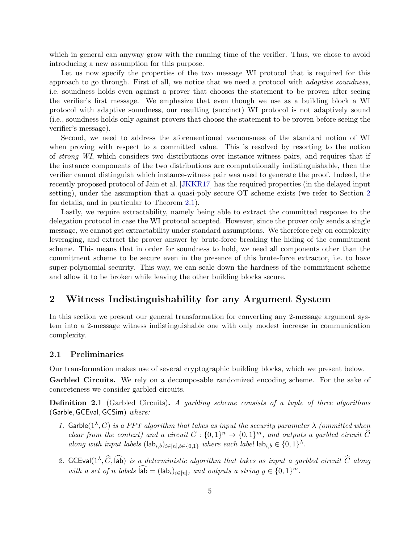which in general can anyway grow with the running time of the verifier. Thus, we chose to avoid introducing a new assumption for this purpose.

Let us now specify the properties of the two message WI protocol that is required for this approach to go through. First of all, we notice that we need a protocol with adaptive soundness, i.e. soundness holds even against a prover that chooses the statement to be proven after seeing the verifier's first message. We emphasize that even though we use as a building block a WI protocol with adaptive soundness, our resulting (succinct) WI protocol is not adaptively sound (i.e., soundness holds only against provers that choose the statement to be proven before seeing the verifier's message).

Second, we need to address the aforementioned vacuousness of the standard notion of WI when proving with respect to a committed value. This is resolved by resorting to the notion of strong WI, which considers two distributions over instance-witness pairs, and requires that if the instance components of the two distributions are computationally indistinguishable, then the verifier cannot distinguish which instance-witness pair was used to generate the proof. Indeed, the recently proposed protocol of Jain et al. [\[JKKR17\]](#page-23-6) has the required properties (in the delayed input setting), under the assumption that a quasi-poly secure OT scheme exists (we refer to Section [2](#page-4-0) for details, and in particular to Theorem [2.1\)](#page-7-0).

Lastly, we require extractability, namely being able to extract the committed response to the delegation protocol in case the WI protocol accepted. However, since the prover only sends a single message, we cannot get extractability under standard assumptions. We therefore rely on complexity leveraging, and extract the prover answer by brute-force breaking the hiding of the commitment scheme. This means that in order for soundness to hold, we need all components other than the commitment scheme to be secure even in the presence of this brute-force extractor, i.e. to have super-polynomial security. This way, we can scale down the hardness of the commitment scheme and allow it to be broken while leaving the other building blocks secure.

# <span id="page-4-0"></span>2 Witness Indistinguishability for any Argument System

In this section we present our general transformation for converting any 2-message argument system into a 2-message witness indistinguishable one with only modest increase in communication complexity.

#### 2.1 Preliminaries

Our transformation makes use of several cryptographic building blocks, which we present below.

Garbled Circuits. We rely on a decomposable randomized encoding scheme. For the sake of concreteness we consider garbled circuits.

<span id="page-4-1"></span>**Definition 2.1** (Garbled Circuits). A garbling scheme consists of a tuple of three algorithms (Garble, GCEval, GCSim) where:

- 1. Garble( $1^{\lambda}$ , C) is a PPT algorithm that takes as input the security parameter  $\lambda$  (ommitted when clear from the context) and a circuit  $C: \{0,1\}^n \to \{0,1\}^m$ , and outputs a garbled circuit  $\widehat{C}$ along with input labels  $(\text{lab}_{i,b})_{i \in [n], b \in \{0,1\}}$  where each label  $\text{lab}_{i,b} \in \{0,1\}^{\lambda}$ .
- 2. GCEval $(1^{\lambda}, \hat{C}, \overline{\mathsf{lab}})$  is a deterministic algorithm that takes as input a garbled circuit  $\hat{C}$  along with a set of n labels  $\widehat{lab} = (lab_i)_{i \in [n]}$ , and outputs a string  $y \in \{0, 1\}^m$ .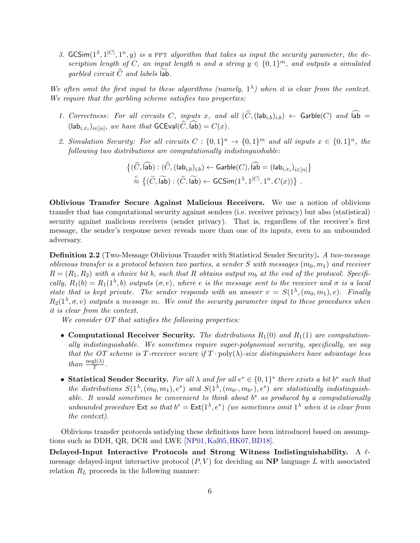3. GCSim( $1^{\lambda}, 1^{|C|}, 1^n, y$ ) is a PPT algorithm that takes as input the security parameter, the description length of C, an input length n and a string  $y \in \{0,1\}^m$ , and outputs a simulated garbled circuit  $\tilde{C}$  and labels lab.

We often omit the first input to these algorithms (namely,  $1^{\lambda}$ ) when it is clear from the context. We require that the garbling scheme satisfies two properties:

- 1. Correctness: For all circuits C, inputs x, and all  $(\widehat{C}, (\text{lab}_{i,b})_{i,b}) \leftarrow \text{Garble}(C)$  and  $\widehat{\text{lab}} =$  $(\mathsf{lab}_{i,x_i})_{i \in [n]}, \text{ we have that } \mathsf{GCEval}(C, \mathsf{lab}) = C(x).$
- 2. Simulation Security: For all circuits  $C: \{0,1\}^n \to \{0,1\}^m$  and all inputs  $x \in \{0,1\}^n$ , the following two distributions are computationally indistinguishable:

$$
\left\{ (\widehat{C}, \widehat{\mathsf{lab}}) : (\widehat{C}, (\mathsf{lab}_{i,b})_{i,b}) \leftarrow \mathsf{Garble}(C), \widehat{\mathsf{lab}} = (\mathsf{lab}_{i,x_i})_{i \in [n]} \right\}
$$
  

$$
\stackrel{c}{\approx} \left\{ (\widetilde{C}, \widetilde{\mathsf{lab}}) : (\widetilde{C}, \widetilde{\mathsf{lab}}) \leftarrow \mathsf{GCSim}(1^{\lambda}, 1^{|C|}, 1^n, C(x)) \right\}.
$$

Oblivious Transfer Secure Against Malicious Receivers. We use a notion of oblivious transfer that has computational security against senders (i.e. receiver privacy) but also (statistical) security against malicious receivers (sender privacy). That is, regardless of the receiver's first message, the sender's response never reveals more than one of its inputs, even to an unbounded adversary.

<span id="page-5-0"></span>**Definition 2.2** (Two-Message Oblivious Transfer with Statistical Sender Security). A two-message oblivious transfer is a protocol between two parties, a sender S with messages  $(m_0, m_1)$  and receiver  $R = (R_1, R_2)$  with a choice bit b, such that R obtains output  $m_b$  at the end of the protocol. Specifically,  $R_1(b) = R_1(1<sup>\lambda</sup>, b)$  outputs  $(\sigma, e)$ , where e is the message sent to the receiver and  $\sigma$  is a local state that is kept private. The sender responds with an answer  $v = S(1^{\lambda}, (m_0, m_1), e)$ . Finally  $R_2(1^{\lambda}, \sigma, v)$  outputs a message m. We omit the security parameter input to these procedures when it is clear from the context.

We consider OT that satisfies the following properties:

- Computational Receiver Security. The distributions  $R_1(0)$  and  $R_1(1)$  are computationally indistinguishable. We sometimes require super-polynomial security, specifically, we say that the OT scheme is T-receiver secure if  $T \cdot \text{poly}(\lambda)$ -size distinguishers have advantage less than  $\frac{\text{negl}(\lambda)}{T}$ .
- Statistical Sender Security. For all  $\lambda$  and for all  $e^* \in \{0,1\}^*$  there exists a bit  $b^*$  such that the distributions  $S(1^{\lambda}, (m_0, m_1), e^*)$  and  $S(1^{\lambda}, (m_{b^*}, m_{b^*}), e^*)$  are statistically indistinguishable. It would sometimes be convenient to think about  $b^*$  as produced by a computationally unbounded procedure Ext so that  $b^* = \text{Ext}(1^{\lambda}, e^*)$  (we sometimes omit  $1^{\lambda}$  when it is clear from the context).

Oblivious transfer protocols satisfying these definitions have been introduced based on assumptions such as DDH, QR, DCR and LWE [\[NP01,](#page-24-1)[Kal05,](#page-23-8)[HK07,](#page-23-9)[BD18\]](#page-22-8).

Delayed-Input Interactive Protocols and Strong Witness Indistinguishability. A  $\ell$ message delayed-input interactive protocol  $(P, V)$  for deciding an **NP** language L with associated relation  $R_L$  proceeds in the following manner: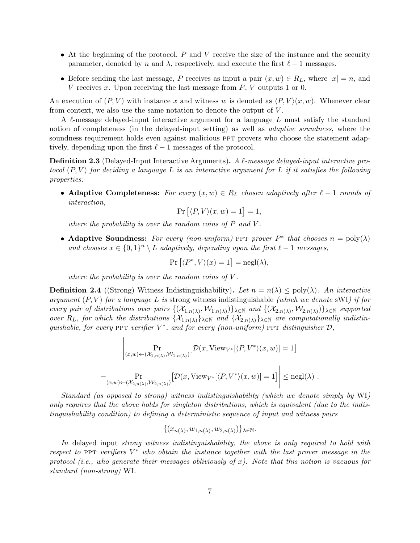- At the beginning of the protocol,  $P$  and  $V$  receive the size of the instance and the security parameter, denoted by n and  $\lambda$ , respectively, and execute the first  $\ell - 1$  messages.
- Before sending the last message, P receives as input a pair  $(x, w) \in R_L$ , where  $|x| = n$ , and V receives x. Upon receiving the last message from  $P, V$  outputs 1 or 0.

An execution of  $(P, V)$  with instance x and witness w is denoted as  $\langle P, V \rangle (x, w)$ . Whenever clear from context, we also use the same notation to denote the output of  $V$ .

A  $\ell$ -message delayed-input interactive argument for a language L must satisfy the standard notion of completeness (in the delayed-input setting) as well as *adaptive soundness*, where the soundness requirement holds even against malicious PPT provers who choose the statement adaptively, depending upon the first  $\ell - 1$  messages of the protocol.

<span id="page-6-0"></span>**Definition 2.3** (Delayed-Input Interactive Arguments). A  $\ell$ -message delayed-input interactive protocol  $(P, V)$  for deciding a language L is an interactive argument for L if it satisfies the following properties:

• Adaptive Completeness: For every  $(x, w) \in R_L$  chosen adaptively after  $\ell - 1$  rounds of interaction,

$$
Pr\left[\langle P, V \rangle(x, w) = 1\right] = 1,
$$

where the probability is over the random coins of  $P$  and  $V$ .

• Adaptive Soundness: For every (non-uniform) PPT prover  $P^*$  that chooses  $n = \text{poly}(\lambda)$ and chooses  $x \in \{0,1\}^n \setminus L$  adaptively, depending upon the first  $\ell - 1$  messages,

$$
\Pr\left[\langle P^*, V \rangle(x) = 1\right] = \text{negl}(\lambda),
$$

where the probability is over the random coins of  $V$ .

**Definition 2.4** ((Strong) Witness Indistinguishability). Let  $n = n(\lambda) \leq \text{poly}(\lambda)$ . An interactive argument  $(P, V)$  for a language L is strong witness indistinguishable (which we denote sWI) if for every pair of distributions over pairs  $\{(\mathcal{X}_{1,n(\lambda)}, \mathcal{W}_{1,n(\lambda)})\}_{\lambda \in \mathbb{N}}$  and  $\{(\mathcal{X}_{2,n(\lambda)}, \mathcal{W}_{2,n(\lambda)})\}_{\lambda \in \mathbb{N}}$  supported over  $R_L$ , for which the distributions  $\{\mathcal{X}_{1,n(\lambda)}\}_{\lambda\in\mathbb{N}}$  and  $\{\mathcal{X}_{2,n(\lambda)}\}_{\lambda\in\mathbb{N}}$  are computationally indistinguishable, for every PPT verifier  $V^*$ , and for every (non-uniform) PPT distinguisher  $\mathcal{D}$ ,

$$
\left| \Pr_{(x,w)\leftarrow(\mathcal{X}_{1,n(\lambda)},\mathcal{W}_{1,n(\lambda)})} \left[ \mathcal{D}(x,\text{View}_{V^*}[\langle P,V^* \rangle(x,w)] = 1 \right] \right|
$$
  

$$
-\Pr_{(x,w)\leftarrow(\mathcal{X}_{2,n(\lambda)},\mathcal{W}_{2,n(\lambda)})} \left[ \mathcal{D}(x,\text{View}_{V^*}[\langle P,V^* \rangle(x,w)] = 1 \right] \leq \text{negl}(\lambda) .
$$

Standard (as opposed to strong) witness indistinguishability (which we denote simply by WI) only requires that the above holds for singleton distributions, which is equivalent (due to the indistinguishability condition) to defining a deterministic sequence of input and witness pairs

$$
\{(x_{n(\lambda)}, w_{1,n(\lambda)}, w_{2,n(\lambda)})\}_{\lambda \in \mathbb{N}}.
$$

In delayed input strong witness indistinguishability, the above is only required to hold with respect to PPT verifiers  $V^*$  who obtain the instance together with the last prover message in the protocol (i.e., who generate their messages obliviously of x). Note that this notion is vacuous for standard (non-strong) WI.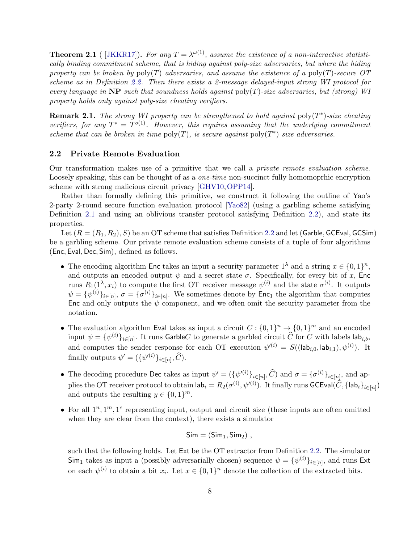<span id="page-7-0"></span>**Theorem 2.1** ([\[JKKR17\]](#page-23-6)). For any  $T = \lambda^{\omega(1)}$ , assume the existence of a non-interactive statistically binding commitment scheme, that is hiding against poly-size adversaries, but where the hiding property can be broken by  $poly(T)$  adversaries, and assume the existence of a  $poly(T)$ -secure OT scheme as in Definition [2.2.](#page-5-0) Then there exists a 2-message delayed-input strong WI protocol for every language in  $\bf NP$  such that soundness holds against  $\rm poly(T)$ -size adversaries, but (strong) WI property holds only against poly-size cheating verifiers.

<span id="page-7-2"></span>**Remark 2.1.** The strong WI property can be strengthened to hold against  $poly(T^*)$ -size cheating verifiers, for any  $T^* = T^{o(1)}$ . However, this requires assuming that the underlying commitment scheme that can be broken in time  $poly(T)$ , is secure against  $poly(T^*)$  size adversaries.

#### <span id="page-7-1"></span>2.2 Private Remote Evaluation

Our transformation makes use of a primitive that we call a private remote evaluation scheme. Loosely speaking, this can be thought of as a *one-time* non-succinct fully homomoprhic encryption scheme with strong malicious circuit privacy [\[GHV10,](#page-22-9) [OPP14\]](#page-24-2).

Rather than formally defining this primitive, we construct it following the outline of Yao's 2-party 2-round secure function evaluation protocol [\[Yao82\]](#page-24-3) (using a garbling scheme satisfying Definition [2.1](#page-4-1) and using an oblivious transfer protocol satisfying Definition [2.2\)](#page-5-0), and state its properties.

Let  $(R = (R_1, R_2), S)$  be an OT scheme that satisfies Definition [2.2](#page-5-0) and let (Garble, GCEval, GCSim) be a garbling scheme. Our private remote evaluation scheme consists of a tuple of four algorithms (Enc, Eval, Dec, Sim), defined as follows.

- The encoding algorithm Enc takes an input a security parameter  $1^{\lambda}$  and a string  $x \in \{0,1\}^n$ , and outputs an encoded output  $\psi$  and a secret state  $\sigma$ . Specifically, for every bit of x, Enc runs  $R_1(1^{\lambda}, x_i)$  to compute the first OT receiver message  $\psi^{(i)}$  and the state  $\sigma^{(i)}$ . It outputs  $\psi = {\{\psi^{(i)}\}}_{i \in [n]}, \sigma = {\{\sigma^{(i)}\}}_{i \in [n]}$ . We sometimes denote by Enc<sub>1</sub> the algorithm that computes Enc and only outputs the  $\psi$  component, and we often omit the security parameter from the notation.
- The evaluation algorithm Eval takes as input a circuit  $C: \{0,1\}^n \to \{0,1\}^m$  and an encoded input  $\psi = {\psi^{(i)}}_{i \in [n]}$ . It runs GarbleC to generate a garbled circuit  $\hat{C}$  for C with labels lab<sub>i,b</sub>, and computes the sender response for each OT execution  $\psi^{(i)} = S((\mathsf{lab}_{i,0}, \mathsf{lab}_{i,1}), \psi^{(i)})$ . It finally outputs  $\psi' = (\{\psi'^{(i)}\}_{i \in [n]}, \widehat{C})$ .
- The decoding procedure Dec takes as input  $\psi' = (\{\psi'^{(i)}\}_{i \in [n]}, \widehat{C})$  and  $\sigma = \{\sigma^{(i)}\}_{i \in [n]},$  and applies the OT receiver protocol to obtain  $\mathsf{lab}_i = R_2(\sigma^{(i)}, \psi'^{(i)})$ . It finally runs  $\mathsf{GCEval}(\widehat{C}, \{\mathsf{lab}_i\}_{i \in [n]})$ and outputs the resulting  $y \in \{0,1\}^m$ .
- For all  $1^n, 1^m, 1^c$  representing input, output and circuit size (these inputs are often omitted when they are clear from the context), there exists a simulator

$$
\mathsf{Sim} = (\mathsf{Sim}_1, \mathsf{Sim}_2) ,
$$

such that the following holds. Let Ext be the OT extractor from Definition [2.2.](#page-5-0) The simulator Sim<sub>1</sub> takes as input a (possibly adversarially chosen) sequence  $\psi = {\psi^{(i)}}_{i \in [n]},$  and runs Ext on each  $\psi^{(i)}$  to obtain a bit  $x_i$ . Let  $x \in \{0,1\}^n$  denote the collection of the extracted bits.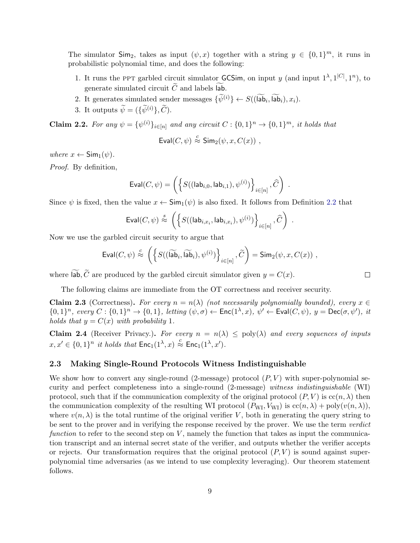The simulator  $\mathsf{Sim}_2$ , takes as input  $(\psi, x)$  together with a string  $y \in \{0, 1\}^m$ , it runs in probabilistic polynomial time, and does the following:

- 1. It runs the PPT garbled circuit simulator GCSim, on input y (and input  $1^{\lambda}$ ,  $1^{|C|}$ ,  $1^n$ ), to generate simulated circuit  $\tilde{C}$  and labels lab.
- 2. It generates simulated sender messages  $\{\widetilde{\psi}^{(i)}\}\leftarrow S((\widetilde{\mathsf{lab}}_i, \widetilde{\mathsf{lab}}_i), x_i).$
- 3. It outputs  $\widetilde{\psi} = (\{\widetilde{\psi}^{(i)}\}, \widetilde{C})$ .

<span id="page-8-1"></span>**Claim 2.2.** For any  $\psi = {\psi^{(i)}}_{i \in [n]}$  and any circuit  $C : \{0,1\}^n \to \{0,1\}^m$ , it holds that

$$
\mathsf{Eval}(C, \psi) \stackrel{c}{\approx} \mathsf{Sim}_2(\psi, x, C(x)) ,
$$

where  $x \leftarrow Sim_1(\psi)$ .

Proof. By definition,

$$
\text{Eval}(C,\psi) = \left( \left\{ S((\text{lab}_{i,0},\text{lab}_{i,1}),\psi^{(i)}) \right\}_{i \in [n]}, \widehat{C} \right) \ .
$$

Since  $\psi$  is fixed, then the value  $x \leftarrow \textsf{Sim}_1(\psi)$  is also fixed. It follows from Definition [2.2](#page-5-0) that

$$
\text{Eval}(C, \psi) \stackrel{s}{\approx} \left( \left\{ S((\text{lab}_{i,x_i}, \text{lab}_{i,x_i}), \psi^{(i)}) \right\}_{i \in [n]}, \widehat{C} \right) \ .
$$

Now we use the garbled circuit security to argue that

$$
\text{Eval}(C, \psi) \stackrel{c}{\approx} \left( \left\{ S((\widetilde{\text{lab}}_i, \widetilde{\text{lab}}_i), \psi^{(i)}) \right\}_{i \in [n]}, \widetilde{C} \right) = \text{Sim}_2(\psi, x, C(x)) ,
$$

where  $\widetilde{ab}, \widetilde{C}$  are produced by the garbled circuit simulator given  $y = C(x)$ .

The following claims are immediate from the OT correctness and receiver security.

**Claim 2.3** (Correctness). For every  $n = n(\lambda)$  (not necessarily polynomially bounded), every  $x \in$  $\{0,1\}^n$ , every  $C: \{0,1\}^n \to \{0,1\}$ , letting  $(\psi, \sigma) \leftarrow \text{Enc}(1^{\lambda}, x)$ ,  $\psi' \leftarrow \text{Eval}(C, \psi)$ ,  $y = \text{Dec}(\sigma, \psi')$ , it holds that  $y = C(x)$  with probability 1.

<span id="page-8-0"></span>**Claim 2.4** (Receiver Privacy.). For every  $n = n(\lambda) \leq \text{poly}(\lambda)$  and every sequences of inputs  $x, x' \in \{0, 1\}^n$  it holds that  $\mathsf{Enc}_1(1^{\lambda}, x) \stackrel{c}{\approx} \mathsf{Enc}_1(1^{\lambda}, x')$ .

### 2.3 Making Single-Round Protocols Witness Indistinguishable

We show how to convert any single-round (2-message) protocol  $(P, V)$  with super-polynomial security and perfect completeness into a single-round (2-message) witness indistinguishable (WI) protocol, such that if the communication complexity of the original protocol  $(P, V)$  is  $c(n, \lambda)$  then the communication complexity of the resulting WI protocol  $(P_{\rm WI}, V_{\rm WI})$  is  $cc(n, \lambda) + \text{poly}(v(n, \lambda)),$ where  $v(n, \lambda)$  is the total runtime of the original verifier V, both in generating the query string to be sent to the prover and in verifying the response received by the prover. We use the term *verdict* function to refer to the second step on  $V$ , namely the function that takes as input the communication transcript and an internal secret state of the verifier, and outputs whether the verifier accepts or rejects. Our transformation requires that the original protocol  $(P, V)$  is sound against superpolynomial time adversaries (as we intend to use complexity leveraging). Our theorem statement follows.

 $\Box$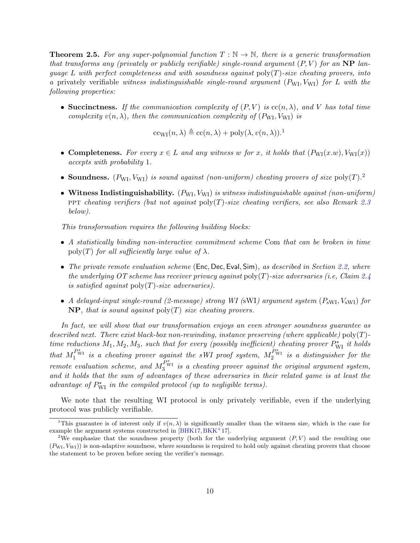<span id="page-9-2"></span>**Theorem 2.5.** For any super-polynomial function  $T : \mathbb{N} \to \mathbb{N}$ , there is a generic transformation that transforms any (privately or publicly verifiable) single-round argument  $(P, V)$  for an NP lanquage L with perfect completeness and with soundness against  $\text{poly}(T)$ -size cheating provers, into a privately verifiable witness indistinguishable single-round argument  $(P_{\rm WI}, V_{\rm WI})$  for L with the following properties:

• Succinctness. If the communication complexity of  $(P, V)$  is  $\operatorname{cc}(n, \lambda)$ , and V has total time complexity  $v(n, \lambda)$ , then the communication complexity of  $(P_{\text{WI}}, V_{\text{WI}})$  is

 $cc_{\text{WI}}(n, \lambda) \triangleq cc(n, \lambda) + \text{poly}(\lambda, v(n, \lambda)).$ <sup>[1](#page-9-0)</sup>

- Completeness. For every  $x \in L$  and any witness w for x, it holds that  $(P_{\rm WI}(x.w), V_{\rm WI}(x))$ accepts with probability 1.
- Soundness.  $(P_{\rm WI}, V_{\rm WI})$  is sound against (non-uniform) cheating provers of size  $\rm poly(T).$ <sup>[2](#page-9-1)</sup>
- Witness Indistinguishability.  $(P_{\text{WI}}, V_{\text{WI}})$  is witness indistinguishable against (non-uniform) PPT cheating verifiers (but not against  $poly(T)$ -size cheating verifiers, see also Remark [2.3](#page-10-0) below).

This transformation requires the following building blocks:

- A statistically binding non-interactive commitment scheme Com that can be broken in time poly(T) for all sufficiently large value of  $\lambda$ .
- The private remote evaluation scheme (Enc, Dec, Eval, Sim), as described in Section [2.2,](#page-7-1) where the underlying OT scheme has receiver privacy against  $\text{poly}(T)$ -size adversaries (i.e., Claim [2.4](#page-8-0) is satisfied against  $\text{poly}(T)$ -size adversaries).
- A delayed-input single-round (2-message) strong WI (sWI) argument system  $(P_{sW}$ ,  $V_{sW}$ ) for  $NP$ , that is sound against  $poly(T)$  size cheating provers.

In fact, we will show that our transformation enjoys an even stronger soundness guarantee as described next. There exist black-box non-rewinding, instance preserving (where applicable)  $poly(T)$ time reductions  $M_1, M_2, M_3$ , such that for every (possibly inefficient) cheating prover  $P_{\text{WI}}^*$  it holds that  $M_1^{P_{\rm WII}^*}$  is a cheating prover against the sWI proof system,  $M_2^{P_{\rm WII}^*}$  is a distinguisher for the remote evaluation scheme, and  $M_3^{\overline{P}^*_{\rm W1}}$  is a cheating prover against the original argument system, and it holds that the sum of advantages of these adversaries in their related game is at least the advantage of  $P_{\text{WI}}^*$  in the compiled protocol (up to negligible terms).

We note that the resulting WI protocol is only privately verifiable, even if the underlying protocol was publicly verifiable.

<span id="page-9-0"></span><sup>&</sup>lt;sup>1</sup>This guarantee is of interest only if  $v(n, \lambda)$  is significantly smaller than the witness size, which is the case for example the argument systems constructed in  $[BHK17, BKK^+17]$  $[BHK17, BKK^+17]$  $[BHK17, BKK^+17]$  $[BHK17, BKK^+17]$ .

<span id="page-9-1"></span><sup>&</sup>lt;sup>2</sup>We emphasize that the soundness property (both for the underlying argument  $(P, V)$  and the resulting one  $(P_{\text{WI}}, V_{\text{WI}})$  is non-adaptive soundness, where soundness is required to hold only against cheating provers that choose the statement to be proven before seeing the verifier's message.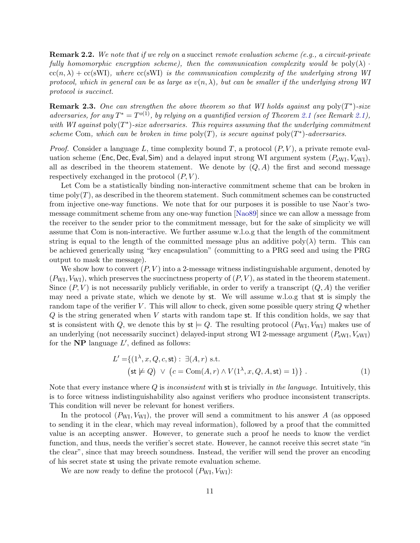**Remark 2.2.** We note that if we rely on a succinct remote evaluation scheme (e.g., a circuit-private fully homomorphic encryption scheme), then the communication complexity would be  $poly(\lambda)$ .  $cc(n, \lambda)$  + cc(sWI), where cc(sWI) is the communication complexity of the underlying strong WI protocol, which in general can be as large as  $v(n, \lambda)$ , but can be smaller if the underlying strong WI protocol is succinct.

<span id="page-10-0"></span>**Remark 2.3.** One can strengthen the above theorem so that WI holds against any  $poly(T^*)$ -size adversaries, for any  $T^* = T^{o(1)}$ , by relying on a quantified version of Theorem [2.1](#page-7-0) (see Remark [2.1\)](#page-7-2), with WI against  $poly(T^*)$ -size adversaries. This requires assuming that the underlying commitment scheme Com, which can be broken in time  $poly(T)$ , is secure against  $poly(T^*)$ -adversaries.

*Proof.* Consider a language L, time complexity bound T, a protocol  $(P, V)$ , a private remote evaluation scheme (Enc, Dec, Eval, Sim) and a delayed input strong WI argument system  $(P_{sWI}, V_{sWI})$ , all as described in the theorem statement. We denote by  $(Q, A)$  the first and second message respectively exchanged in the protocol  $(P, V)$ .

Let Com be a statistically binding non-interactive commitment scheme that can be broken in time  $poly(T)$ , as described in the theorem statement. Such commitment schemes can be constructed from injective one-way functions. We note that for our purposes it is possible to use Naor's twomessage commitment scheme from any one-way function [\[Nao89\]](#page-24-4) since we can allow a message from the receiver to the sender prior to the commitment message, but for the sake of simplicity we will assume that Com is non-interactive. We further assume w.l.o.g that the length of the commitment string is equal to the length of the committed message plus an additive poly( $\lambda$ ) term. This can be achieved generically using "key encapsulation" (committing to a PRG seed and using the PRG output to mask the message).

We show how to convert  $(P, V)$  into a 2-message witness indistinguishable argument, denoted by  $(P_{\rm WI}, V_{\rm WI})$ , which preserves the succinctness property of  $(P, V)$ , as stated in the theorem statement. Since  $(P, V)$  is not necessarily publicly verifiable, in order to verify a transcript  $(Q, A)$  the verifier may need a private state, which we denote by st. We will assume w.l.o.g that st is simply the random tape of the verifier  $V$ . This will allow to check, given some possible query string  $Q$  whether Q is the string generated when V starts with random tape st. If this condition holds, we say that st is consistent with Q, we denote this by  $st \models Q$ . The resulting protocol  $(P_{\text{WI}}, V_{\text{WI}})$  makes use of an underlying (not necessarily succinct) delayed-input strong WI 2-message argument  $(P_{\text{SWI}}, V_{\text{SWI}})$ for the  $\bf NP$  language  $L'$ , defined as follows:

<span id="page-10-1"></span>
$$
L' = \{(1^{\lambda}, x, Q, c, \mathsf{st}) : \exists (A, r) \text{ s.t. } (\mathsf{st} \not\models Q) \lor (c = \text{Com}(A, r) \land V(1^{\lambda}, x, Q, A, \mathsf{st}) = 1) \}.
$$
 (1)

Note that every instance where  $Q$  is inconsistent with  $st$  is trivially in the language. Intuitively, this is to force witness indistinguishability also against verifiers who produce inconsistent transcripts. This condition will never be relevant for honest verifiers.

In the protocol  $(P_{\text{WI}}, V_{\text{WI}})$ , the prover will send a commitment to his answer A (as opposed to sending it in the clear, which may reveal information), followed by a proof that the committed value is an accepting answer. However, to generate such a proof he needs to know the verdict function, and thus, needs the verifier's secret state. However, he cannot receive this secret state "in the clear", since that may breech soundness. Instead, the verifier will send the prover an encoding of his secret state st using the private remote evaluation scheme.

We are now ready to define the protocol  $(P_{\text{WI}}, V_{\text{WI}})$ :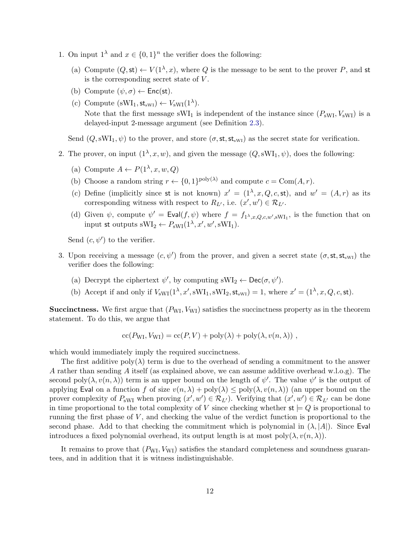- 1. On input  $1^{\lambda}$  and  $x \in \{0,1\}^n$  the verifier does the following:
	- (a) Compute  $(Q, st) \leftarrow V(1^{\lambda}, x)$ , where Q is the message to be sent to the prover P, and st is the corresponding secret state of V .
	- (b) Compute  $(\psi, \sigma) \leftarrow \mathsf{Enc}(\mathsf{st})$ .
	- (c) Compute  $(sWI_1, st_{swI}) \leftarrow V_{sWI}(1^{\lambda}).$ Note that the first message sWI<sub>1</sub> is independent of the instance since  $(P_{\text{SWI}}, V_{\text{SWI}})$  is a delayed-input 2-message argument (see Definition [2.3\)](#page-6-0).

Send  $(Q, sWI_1, \psi)$  to the prover, and store  $(\sigma, st, st_{sWI})$  as the secret state for verification.

- 2. The prover, on input  $(1^{\lambda}, x, w)$ , and given the message  $(Q, sWI_1, \psi)$ , does the following:
	- (a) Compute  $A \leftarrow P(1^{\lambda}, x, w, Q)$
	- (b) Choose a random string  $r \leftarrow \{0, 1\}^{\text{poly}(\lambda)}$  and compute  $c = \text{Com}(A, r)$ .
	- (c) Define (implicitly since st is not known)  $x' = (1^{\lambda}, x, Q, c, st)$ , and  $w' = (A, r)$  as its corresponding witness with respect to  $R_{L'}$ , i.e.  $(x', w') \in \mathcal{R}_{L'}$ .
	- (d) Given  $\psi$ , compute  $\psi' = \text{Eval}(f, \psi)$  where  $f = f_{1^{\lambda},x,Q,c,w',sW_1}$ , is the function that on input st outputs  $sWI_2 \leftarrow P_sWI_1^{\lambda}, x', w', sWI_1).$

Send  $(c, \psi')$  to the verifier.

- 3. Upon receiving a message  $(c, \psi')$  from the prover, and given a secret state  $(\sigma, st, st_{sW1})$  the verifier does the following:
	- (a) Decrypt the ciphertext  $\psi'$ , by computing  $sWI_2 \leftarrow Dec(\sigma, \psi')$ .
	- (b) Accept if and only if  $V_{\text{sWI}}(1^{\lambda}, x', \text{sWI}_1, \text{sWI}_2, \text{st}_{\text{sWI}}) = 1$ , where  $x' = (1^{\lambda}, x, Q, c, \text{st})$ .

**Succinctness.** We first argue that  $(P_{\text{WI}}, V_{\text{WI}})$  satisfies the succinctness property as in the theorem statement. To do this, we argue that

$$
cc(P_{\text{WI}}, V_{\text{WI}}) = cc(P, V) + \text{poly}(\lambda) + \text{poly}(\lambda, v(n, \lambda)) ,
$$

which would immediately imply the required succinctness.

The first additive poly( $\lambda$ ) term is due to the overhead of sending a commitment to the answer A rather than sending A itself (as explained above, we can assume additive overhead w.l.o.g). The second poly $(\lambda, v(n, \lambda))$  term is an upper bound on the length of  $\psi'$ . The value  $\psi'$  is the output of applying Eval on a function f of size  $v(n, \lambda) + \text{poly}(\lambda) \leq \text{poly}(\lambda, v(n, \lambda))$  (an upper bound on the prover complexity of  $P_{sWI}$  when proving  $(x', w') \in \mathcal{R}_{L'}$ . Verifying that  $(x', w') \in \mathcal{R}_{L'}$  can be done in time proportional to the total complexity of V since checking whether  $st \models Q$  is proportional to running the first phase of  $V$ , and checking the value of the verdict function is proportional to the second phase. Add to that checking the commitment which is polynomial in  $(\lambda, |A|)$ . Since Eval introduces a fixed polynomial overhead, its output length is at most poly $(\lambda, v(n, \lambda))$ .

It remains to prove that  $(P_{\text{WI}}, V_{\text{WI}})$  satisfies the standard completeness and soundness guarantees, and in addition that it is witness indistinguishable.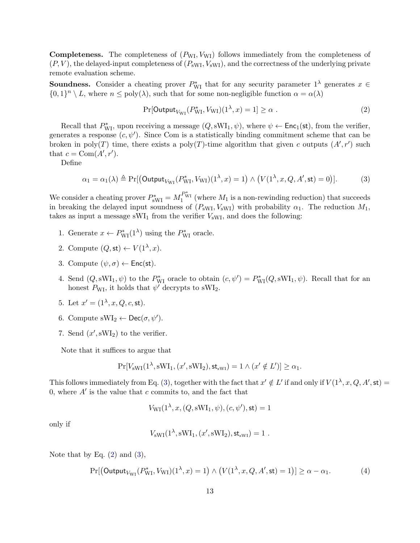**Completeness.** The completeness of  $(P_{\rm WI}, V_{\rm WI})$  follows immediately from the completeness of  $(P, V)$ , the delayed-input completeness of  $(P_{sWI}, V_{sWI})$ , and the correctness of the underlying private remote evaluation scheme.

**Soundness.** Consider a cheating prover  $P_{\text{WI}}^*$  that for any security parameter  $1^{\lambda}$  generates  $x \in$  $\{0,1\}^n \setminus L$ , where  $n \leq \text{poly}(\lambda)$ , such that for some non-negligible function  $\alpha = \alpha(\lambda)$ 

<span id="page-12-1"></span>
$$
\Pr[\text{Output}_{V_{\text{WI}}}(P_{\text{WI}}^*, V_{\text{WI}})(1^\lambda, x) = 1] \ge \alpha \tag{2}
$$

Recall that  $P_{\text{WI}}^*$ , upon receiving a message  $(Q, sWI_1, \psi)$ , where  $\psi \leftarrow \text{Enc}_1(\text{st})$ , from the verifier, generates a response  $(c, \psi')$ . Since Com is a statistically binding commitment scheme that can be broken in poly(T) time, there exists a poly(T)-time algorithm that given c outputs  $(A', r')$  such that  $c = \text{Com}(A', r').$ 

Define

<span id="page-12-0"></span>
$$
\alpha_1 = \alpha_1(\lambda) \triangleq \Pr[(\text{Output}_{V_{\text{WI}}}(P_{\text{WI}}^*, V_{\text{WI}})(1^{\lambda}, x) = 1) \land (V(1^{\lambda}, x, Q, A', \text{st}) = 0)].
$$
\n(3)

We consider a cheating prover  $P_{s\text{WI}}^{*} = M_1^{P_{\text{WI}}^{*}}$  (where  $M_1$  is a non-rewinding reduction) that succeeds in breaking the delayed input soundness of  $(P_{sWI}, V_{sWI})$  with probability  $\alpha_1$ . The reduction  $M_1$ , takes as input a message  $sWI<sub>1</sub>$  from the verifier  $V<sub>sWI</sub>$ , and does the following:

- 1. Generate  $x \leftarrow P_{\text{WI}}^*(1^{\lambda})$  using the  $P_{\text{WI}}^*$  oracle.
- 2. Compute  $(Q, \mathsf{st}) \leftarrow V(1^{\lambda}, x)$ .
- 3. Compute  $(\psi, \sigma) \leftarrow \mathsf{Enc}(\mathsf{st})$ .
- 4. Send  $(Q, sWI_1, \psi)$  to the  $P_{WI}^*$  oracle to obtain  $(c, \psi') = P_{WI}^*(Q, sWI_1, \psi)$ . Recall that for an honest  $P_{\text{WI}}$ , it holds that  $\psi'$  decrypts to sWI<sub>2</sub>.
- 5. Let  $x' = (1^{\lambda}, x, Q, c, \text{st}).$
- 6. Compute  $sWI_2 \leftarrow \mathsf{Dec}(\sigma, \psi').$
- 7. Send  $(x', sWI_2)$  to the verifier.

Note that it suffices to argue that

$$
Pr[V_{sWI}(1^{\lambda}, sWI_1, (x', sWI_2), st_{sWI}) = 1 \wedge (x' \notin L')] \ge \alpha_1.
$$

This follows immediately from Eq. [\(3\)](#page-12-0), together with the fact that  $x' \notin L'$  if and only if  $V(1^{\lambda}, x, Q, A', \text{st}) =$ 0, where  $A'$  is the value that c commits to, and the fact that

 $V_\text{WI}(1^\lambda,x,(Q,\text{sWI}_1,\psi),(c,\psi'),\text{st})=1$ 

only if

$$
V_{sWI}(1^{\lambda}, sWI_1, (x', sWI_2), \mathsf{st}_{sWI}) = 1.
$$

Note that by Eq.  $(2)$  and  $(3)$ ,

<span id="page-12-2"></span>
$$
\Pr[(\text{Output}_{V_{\text{WI}}}(P_{\text{WI}}^*, V_{\text{WI}})(1^{\lambda}, x) = 1) \land (V(1^{\lambda}, x, Q, A', \text{st}) = 1)] \ge \alpha - \alpha_1. \tag{4}
$$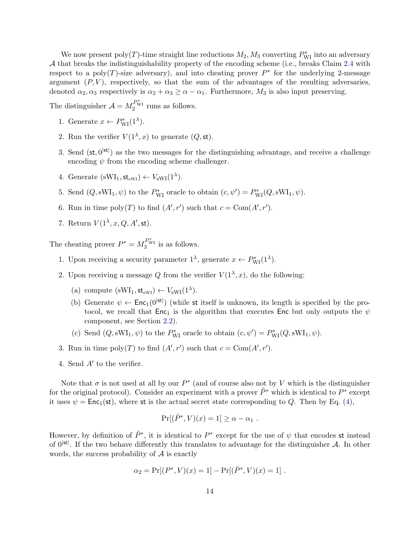We now present  $poly(T)$ -time straight line reductions  $M_2, M_3$  converting  $P^*_{\text{WI}}$  into an adversary A that breaks the indistinguishability property of the encoding scheme (i.e., breaks Claim [2.4](#page-8-0) with respect to a poly(T)-size adversary), and into cheating prover  $P^*$  for the underlying 2-message argument  $(P, V)$ , respectively, so that the sum of the advantages of the resulting adversaries, denoted  $\alpha_2, \alpha_3$  respectively is  $\alpha_2 + \alpha_3 \ge \alpha - \alpha_1$ . Furthermore,  $M_3$  is also input preserving.

The distinguisher  $\mathcal{A} = M_2^{P_{\rm WI}^*}$  runs as follows.

- 1. Generate  $x \leftarrow P_{\text{WI}}^*(1^{\lambda})$ .
- 2. Run the verifier  $V(1^{\lambda}, x)$  to generate  $(Q, \text{st})$ .
- 3. Send  $(st, 0^{|st|})$  as the two messages for the distinguishing advantage, and receive a challenge encoding  $\psi$  from the encoding scheme challenger.
- 4. Generate  $(sWI_1, st_{swI}) \leftarrow V_{swI}(1^{\lambda}).$
- 5. Send  $(Q, sWI_1, \psi)$  to the  $P^*_{WI}$  oracle to obtain  $(c, \psi') = P^*_{WI}(Q, sWI_1, \psi)$ .
- 6. Run in time  $\text{poly}(T)$  to find  $(A', r')$  such that  $c = \text{Com}(A', r')$ .
- 7. Return  $V(1^{\lambda}, x, Q, A', \text{st})$ .

The cheating prover  $P^* = M_3^{P^*_{\text{WI}}}$  is as follows.

- 1. Upon receiving a security parameter  $1^{\lambda}$ , generate  $x \leftarrow P_{\text{WI}}^*(1^{\lambda})$ .
- 2. Upon receiving a message Q from the verifier  $V(1^{\lambda}, x)$ , do the following:
	- (a) compute  $(sWI_1, st_{swI}) \leftarrow V_{swI}(1^{\lambda}).$
	- (b) Generate  $\psi \leftarrow \text{Enc}_1(0^{|\text{st}|})$  (while st itself is unknown, its length is specified by the protocol, we recall that  $Enc_1$  is the algorithm that executes Enc but only outputs the  $\psi$ component, see Section [2.2\)](#page-7-1).
	- (c) Send  $(Q, sWI_1, \psi)$  to the  $P^*_{WI}$  oracle to obtain  $(c, \psi') = P^*_{WI}(Q, sWI_1, \psi)$ .
- 3. Run in time  $\text{poly}(T)$  to find  $(A', r')$  such that  $c = \text{Com}(A', r')$ .
- 4. Send  $A'$  to the verifier.

Note that  $\sigma$  is not used at all by our  $P^*$  (and of course also not by V which is the distinguisher for the original protocol). Consider an experiment with a prover  $\tilde{P}^*$  which is identical to  $P^*$  except it uses  $\psi = \text{Enc}_1(\text{st})$ , where st is the actual secret state corresponding to Q. Then by Eq. [\(4\)](#page-12-2),

$$
Pr[(\tilde{P}^*, V)(x) = 1] \ge \alpha - \alpha_1.
$$

However, by definition of  $\tilde{P}^*$ , it is identical to  $P^*$  except for the use of  $\psi$  that encodes st instead of  $0^{|\mathsf{st}|}$ . If the two behave differently this translates to advantage for the distinguisher A. In other words, the success probability of  $A$  is exactly

$$
\alpha_2 = \Pr[(P^*, V)(x) = 1] - \Pr[(\tilde{P}^*, V)(x) = 1].
$$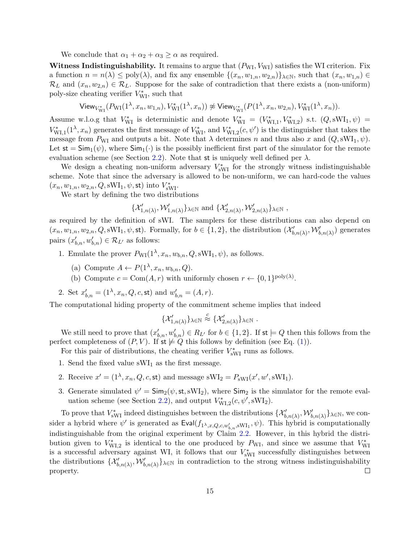We conclude that  $\alpha_1 + \alpha_2 + \alpha_3 \ge \alpha$  as required.

**Witness Indistinguishability.** It remains to argue that  $(P_{\rm WI}, V_{\rm WI})$  satisfies the WI criterion. Fix a function  $n = n(\lambda) \leq \text{poly}(\lambda)$ , and fix any ensemble  $\{(x_n, w_{1,n}, w_{2,n})\}_{\lambda \in \mathbb{N}}$ , such that  $(x_n, w_{1,n}) \in$  $\mathcal{R}_L$  and  $(x_n, w_{2,n}) \in \mathcal{R}_L$ . Suppose for the sake of contradiction that there exists a (non-uniform) poly-size cheating verifier  $V_{\text{WI}}^*$ , such that

 $\mathsf{View}_{V^*_\mathrm{WI}}(P_\mathrm{WI}(1^\lambda,x_n,w_{1,n}),V^*_\mathrm{WI}(1^\lambda,x_n)) \not\approx \mathsf{View}_{V^*_\mathrm{WI}}(P(1^\lambda,x_n,w_{2,n}),V^*_\mathrm{WI}(1^\lambda,x_n)).$ 

Assume w.l.o.g that  $V_{\text{WI}}^*$  is deterministic and denote  $V_{\text{WI}}^* = (V_{\text{WI},1}^*, V_{\text{WI},2}^*)$  s.t.  $(Q, s\text{WI}, \psi)$  =  $V_{\text{WI},1}^*(1^{\lambda}, x_n)$  generates the first message of  $V_{\text{WI}}^*$ , and  $V_{\text{WI},2}^*(c, \psi')$  is the distinguisher that takes the message from  $P_{\rm WI}$  and outputs a bit. Note that  $\lambda$  determines n and thus also x and  $(Q, sWI_1, \psi)$ . Let  $st = Sim_1(\psi)$ , where  $Sim_1(\cdot)$  is the possibly inefficient first part of the simulator for the remote evaluation scheme (see Section [2.2\)](#page-7-1). Note that st is uniquely well defined per  $\lambda$ .

We design a cheating non-uniform adversary  $V_{sWI}^*$  for the strongly witness indistinguishable scheme. Note that since the adversary is allowed to be non-uniform, we can hard-code the values  $(x_n, w_{1,n}, w_{2,n}, Q, \text{sWI}_1, \psi, \text{st})$  into  $V_{\text{sWI}}^*$ .

We start by defining the two distributions

 $\{\mathcal{X}_{1,n(\lambda)}',\mathcal{W}_{1,n(\lambda)}'\}_{\lambda\in\mathbb{N}}$  and  $\{\mathcal{X}_{2,n(\lambda)}',\mathcal{W}_{2,n(\lambda)}'\}_{\lambda\in\mathbb{N}}$ ,

as required by the definition of sWI. The samplers for these distributions can also depend on  $(x_n, w_{1,n}, w_{2,n}, Q, sWI_1, \psi, st)$ . Formally, for  $b \in \{1, 2\}$ , the distribution  $(\mathcal{X}'_{b,n(\lambda)}, \mathcal{W}'_{b,n(\lambda)})$  generates pairs  $(x'_{b,n}, w'_{b,n}) \in \mathcal{R}_{L'}$  as follows:

- 1. Emulate the prover  $P_{\text{WI}}(1^{\lambda}, x_n, w_{b,n}, Q, \text{sWI}_1, \psi)$ , as follows.
	- (a) Compute  $A \leftarrow P(1^{\lambda}, x_n, w_{b,n}, Q)$ .
	- (b) Compute  $c = \text{Com}(A, r)$  with uniformly chosen  $r \leftarrow \{0, 1\}^{\text{poly}(\lambda)}$ .
- 2. Set  $x'_{b,n} = (1^{\lambda}, x_n, Q, c, \text{st})$  and  $w'_{b,n} = (A, r)$ .

The computational hiding property of the commitment scheme implies that indeed

$$
\{\mathcal{X}_{1,n(\lambda)}'\}_{\lambda\in\mathbb{N}}\stackrel{c}{\approx}\{\mathcal{X}_{2,n(\lambda)}'\}_{\lambda\in\mathbb{N}}.
$$

We still need to prove that  $(x'_{b,n}, w'_{b,n}) \in R_{L'}$  for  $b \in \{1, 2\}$ . If  $st \models Q$  then this follows from the perfect completeness of  $(P, V)$ . If  $st \not\models Q$  this follows by definition (see Eq. [\(1\)](#page-10-1)).

For this pair of distributions, the cheating verifier  $V_{\text{sWI}}^*$  runs as follows.

- 1. Send the fixed value  $\text{sWI}_1$  as the first message.
- 2. Receive  $x' = (1^{\lambda}, x_n, Q, c, \text{st})$  and message sWI<sub>2</sub> =  $P_{\text{sWI}}(x', w', \text{sWI}_1)$ .
- 3. Generate simulated  $\psi' = \mathsf{Sim}_2(\psi, \mathsf{st}, sW\mathsf{I}_2)$ , where  $\mathsf{Sim}_2$  is the simulator for the remote eval-uation scheme (see Section [2.2\)](#page-7-1), and output  $V_{\text{WI},2}^*(c, \psi', s\text{WI}_2)$ .

To prove that  $V_{sWI}^*$  indeed distinguishes between the distributions  $\{\mathcal{X}'_{b,n(\lambda)}, \mathcal{W}'_{b,n(\lambda)}\}_{\lambda \in \mathbb{N}}$ , we consider a hybrid where  $\psi'$  is generated as  $\textsf{Eval}(f_{1^{\lambda},x,Q,c,w'_{b,n},sW1},\psi)$ . This hybrid is computationally indistinguishable from the original experiment by Claim [2.2.](#page-8-1) However, in this hybrid the distribution given to  $V_{\text{WI},2}^*$  is identical to the one produced by  $P_{\text{WI}}$ , and since we assume that  $V_{\text{WI}}^*$ is a successful adversary against WI, it follows that our  $V_{sWI}^*$  successfully distinguishes between the distributions  $\{\mathcal{X}_{b,n(\lambda)}', \mathcal{W}_{b,n(\lambda)}'\}_{\lambda \in \mathbb{N}}$  in contradiction to the strong witness indistinguishability property.  $\Box$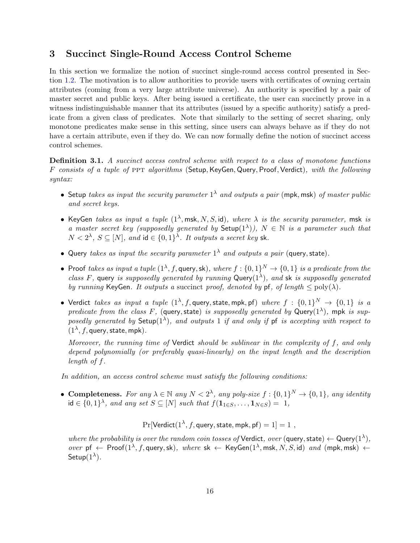# <span id="page-15-0"></span>3 Succinct Single-Round Access Control Scheme

In this section we formalize the notion of succinct single-round access control presented in Section [1.2.](#page-1-0) The motivation is to allow authorities to provide users with certificates of owning certain attributes (coming from a very large attribute universe). An authority is specified by a pair of master secret and public keys. After being issued a certificate, the user can succinctly prove in a witness indistinguishable manner that its attributes (issued by a specific authority) satisfy a predicate from a given class of predicates. Note that similarly to the setting of secret sharing, only monotone predicates make sense in this setting, since users can always behave as if they do not have a certain attribute, even if they do. We can now formally define the notion of succinct access control schemes.

<span id="page-15-1"></span>Definition 3.1. A succinct access control scheme with respect to a class of monotone functions F consists of a tuple of ppt algorithms (Setup,KeyGen, Query, Proof, Verdict), with the following syntax:

- Setup takes as input the security parameter  $1^{\lambda}$  and outputs a pair (mpk, msk) of master public and secret keys.
- KeyGen takes as input a tuple  $(1^{\lambda}, \text{msk}, N, S, \text{id})$ , where  $\lambda$  is the security parameter, msk is a master secret key (supposedly generated by  $\mathsf{Setup}(1^{\lambda})$ ),  $N \in \mathbb{N}$  is a parameter such that  $N < 2^{\lambda}$ ,  $S \subseteq [N]$ , and id  $\in \{0,1\}^{\lambda}$ . It outputs a secret key sk.
- Query takes as input the security parameter  $1^{\lambda}$  and outputs a pair (query, state).
- Proof takes as input a tuple  $(1^{\lambda}, f, \text{query}, \text{sk})$ , where  $f : \{0, 1\}^N \to \{0, 1\}$  is a predicate from the class F, query is supposedly generated by running Query( $1^{\lambda}$ ), and sk is supposedly generated by running KeyGen. It outputs a succinct proof, denoted by  $pf$ , of length  $\leq poly(\lambda)$ .
- Verdict takes as input a tuple  $(1^{\lambda}, f,$  query, state, mpk, pf) where  $f: \{0,1\}^N \rightarrow \{0,1\}$  is a predicate from the class F, (query, state) is supposedly generated by Query( $1^{\lambda}$ ), mpk is supposedly generated by Setup $(1^{\lambda})$ , and outputs 1 if and only if pf is accepting with respect to  $(1^{\lambda}, f,$  query, state, mpk).

Moreover, the running time of Verdict should be sublinear in the complexity of f, and only depend polynomially (or preferably quasi-linearly) on the input length and the description length of f.

In addition, an access control scheme must satisfy the following conditions:

• Completeness. For any  $\lambda \in \mathbb{N}$  any  $N < 2^{\lambda}$ , any poly-size  $f : \{0,1\}^N \to \{0,1\}$ , any identity  $\text{id} \in \{0,1\}^{\lambda}, \text{ and any set } S \subseteq [N] \text{ such that } f(\mathbf{1}_{1 \in S}, \ldots, \mathbf{1}_{N \in S}) = 1,$ 

 $\Pr[\mathsf{Verdict}(1^\lambda, f, \mathsf{query}, \mathsf{state}, \mathsf{mpk}, \mathsf{pf}) = 1] = 1 \;,$ 

where the probability is over the random coin tosses of Verdict, over (query, state)  $\leftarrow$  Query(1<sup> $\lambda$ </sup>), over pf  $\leftarrow$  Proof $(1^{\lambda}, f, \text{query}, \text{sk})$ , where sk  $\leftarrow$  KeyGen $(1^{\lambda}, \text{msk}, N, S, \text{id})$  and  $(\text{mpk}, \text{msk}) \leftarrow$ Setup $(1^{\lambda})$ .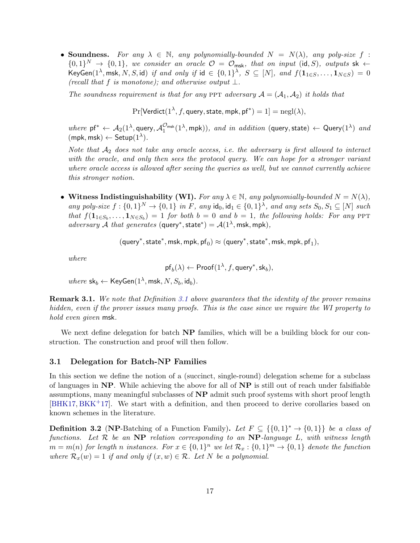• Soundness. For any  $\lambda \in \mathbb{N}$ , any polynomially-bounded  $N = N(\lambda)$ , any poly-size f:  $\{0,1\}^N \to \{0,1\}$ , we consider an oracle  $\mathcal{O} = \mathcal{O}_{\mathsf{msk}}$ , that on input (id, S), outputs sk  $\leftarrow$ KeyGen $(1^{\lambda}, \textsf{msk}, N, S, \textsf{id})$  if and only if  $\textsf{id} \in \{0,1\}^{\lambda}, \ S \subseteq [N], \ and \ f(\mathbf{1}_{1 \in S}, \ldots, \mathbf{1}_{N \in S}) = 0$ (recall that f is monotone); and otherwise output  $\bot$ .

The soundness requirement is that for any PPT adversary  $\mathcal{A} = (\mathcal{A}_1, \mathcal{A}_2)$  it holds that

 $\Pr[\mathsf{Verdict}(1^\lambda, f, \mathsf{query}, \mathsf{state}, \mathsf{mpk}, \mathsf{pf}^*) = 1] = \operatorname{negl}(\lambda),$ 

where  $pf^* \leftarrow \mathcal{A}_2(1^{\lambda}, \text{query}, \mathcal{A}_1^{\mathcal{O}_{msk}}(1^{\lambda}, \text{mpk})), \text{ and in addition (query, state)} \leftarrow \text{Query}(1^{\lambda}) \text{ and }$  $(mpk, msk) \leftarrow Setup(1^{\lambda}).$ 

Note that  $A_2$  does not take any oracle access, i.e. the adversary is first allowed to interact with the oracle, and only then sees the protocol query. We can hope for a stronger variant where oracle access is allowed after seeing the queries as well, but we cannot currently achieve this stronger notion.

• Witness Indistinguishability (WI). For any  $\lambda \in \mathbb{N}$ , any polynomially-bounded  $N = N(\lambda)$ , any poly-size  $f: \{0,1\}^N \to \{0,1\}$  in F, any  $\mathsf{id}_0, \mathsf{id}_1 \in \{0,1\}^{\lambda}$ , and any sets  $S_0, S_1 \subseteq [N]$  such that  $f(\mathbf{1}_{1\in S_b},\ldots,\mathbf{1}_{N\in S_b}) = 1$  for both  $b = 0$  and  $b = 1$ , the following holds: For any PPT adversary A that generates (query<sup>\*</sup>, state<sup>\*</sup>) =  $\mathcal{A}(1^{\lambda}, \text{msk}, \text{mpk})$ ,

 $(\mathsf{query}^*, \mathsf{state}^*, \mathsf{msk}, \mathsf{mpk}, \mathsf{pf}_0) \approx (\mathsf{query}^*, \mathsf{state}^*, \mathsf{msk}, \mathsf{mpk}, \mathsf{pf}_1),$ 

where

$$
\mathsf{pf}_b(\lambda) \leftarrow \mathsf{Proof}(1^{\lambda}, f, \mathsf{query}^*, \mathsf{sk}_b),
$$

where  $\mathsf{sk}_b \leftarrow \mathsf{KeyGen}(1^\lambda, \mathsf{msk}, N, S_b, \mathsf{id}_b).$ 

Remark [3.1](#page-15-1). We note that Definition 3.1 above guarantees that the identity of the prover remains hidden, even if the prover issues many proofs. This is the case since we require the WI property to hold even given msk.

We next define delegation for batch **NP** families, which will be a building block for our construction. The construction and proof will then follow.

### 3.1 Delegation for Batch-NP Families

In this section we define the notion of a (succinct, single-round) delegation scheme for a subclass of languages in  $\bf NP$ . While achieving the above for all of  $\bf NP$  is still out of reach under falsifiable assumptions, many meaningful subclasses of NP admit such proof systems with short proof length [\[BHK17,](#page-22-0) [BKK](#page-22-4)+17]. We start with a definition, and then proceed to derive corollaries based on known schemes in the literature.

<span id="page-16-0"></span>**Definition 3.2** (NP-Batching of a Function Family). Let  $F \subseteq \{\{0,1\}^* \to \{0,1\}\}\$ be a class of functions. Let  $R$  be an NP relation corresponding to an NP-language L, with witness length  $m = m(n)$  for length n instances. For  $x \in \{0,1\}^n$  we let  $\mathcal{R}_x : \{0,1\}^m \to \{0,1\}$  denote the function where  $\mathcal{R}_x(w) = 1$  if and only if  $(x, w) \in \mathcal{R}$ . Let N be a polynomial.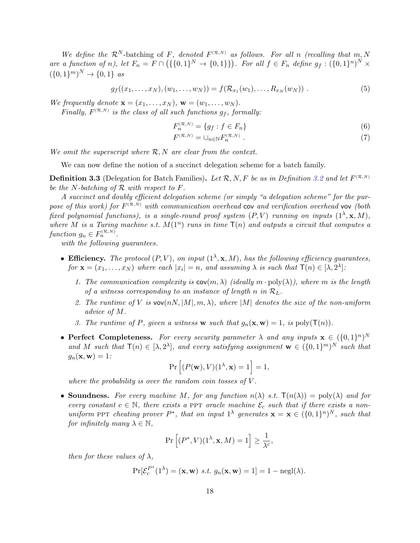We define the  $\mathcal{R}^N$ -batching of F, denoted  $F^{(\mathcal{R},N)}$  as follows. For all n (recalling that m, N are a function of n), let  $F_n = F \cap (\{\{0,1\}^N \to \{0,1\}\})$ . For all  $f \in F_n$  define  $g_f : (\{0,1\}^n)^N \times$  $({0,1}^m)^N \rightarrow {0,1}$  as

$$
g_f((x_1,\ldots,x_N),(w_1,\ldots,w_N))=f(\mathcal{R}_{x_1}(w_1),\ldots,\mathcal{R}_{x_N}(w_N))\ .
$$
 (5)

We frequently denote  $\mathbf{x} = (x_1, \dots, x_N)$ ,  $\mathbf{w} = (w_1, \dots, w_N)$ .

Finally,  $F^{(\mathcal{R},N)}$  is the class of all such functions  $g_f$ , formally:

$$
F_n^{(\mathcal{R},N)} = \{g_f : f \in F_n\} \tag{6}
$$

$$
F^{(\mathcal{R},N)} = \cup_{n \in \mathbb{N}} F_n^{(\mathcal{R},N)} \tag{7}
$$

We omit the superscript where  $R$ , N are clear from the context.

We can now define the notion of a succinct delegation scheme for a batch family.

<span id="page-17-0"></span>**Definition 3.3** (Delegation for Batch Families). Let R, N, F be as in Definition [3.2](#page-16-0) and let  $F^{(\mathcal{R},N)}$ be the N-batching of  $\mathcal R$  with respect to  $F$ .

A succinct and doubly efficient delegation scheme (or simply "a delegation scheme" for the purpose of this work) for  $F^{(\mathcal{R},N)}$  with communication overhead cov and verification overhead vov (both fixed polynomial functions), is a single-round proof system  $(P, V)$  running on inputs  $(1^{\lambda}, \mathbf{x}, M)$ , where M is a Turing machine s.t.  $M(1^n)$  runs in time  $\mathsf{T}(n)$  and outputs a circuit that computes a function  $g_n \in F_n^{(\mathcal{R},N)}$ .

with the following guarantees.

- Efficiency. The protocol  $(P, V)$ , on input  $(1^{\lambda}, \mathbf{x}, M)$ , has the following efficiency guarantees, for  $\mathbf{x} = (x_1, \dots, x_N)$  where each  $|x_i| = n$ , and assuming  $\lambda$  is such that  $\mathsf{T}(n) \in [\lambda, 2^{\lambda}]$ .
	- 1. The communication complexity is  $\mathsf{cov}(m, \lambda)$  (ideally  $m \cdot \mathrm{poly}(\lambda)$ ), where m is the length of a witness corresponding to an instance of length n in  $\mathcal{R}_L$ .
	- 2. The runtime of V is  $\mathsf{v}_N(n,N, |M|, m, \lambda)$ , where  $|M|$  denotes the size of the non-uniform advice of M.
	- 3. The runtime of P, given a witness **w** such that  $g_n(\mathbf{x}, \mathbf{w}) = 1$ , is  $\text{poly}(\mathsf{T}(n))$ .
- Perfect Completeness. For every security parameter  $\lambda$  and any inputs  $\mathbf{x} \in (\{0,1\}^n)^N$ and M such that  $\mathsf{T}(n) \in [\lambda, 2^{\lambda}]$ , and every satisfying assignment  $\mathbf{w} \in (\{0, 1\}^m)^N$  such that  $g_n(\mathbf{x}, \mathbf{w}) = 1$ :

$$
\Pr\left[ (P(\mathbf{w}), V)(1^{\lambda}, \mathbf{x}) = 1 \right] = 1,
$$

where the probability is over the random coin tosses of  $V$ .

• Soundness. For every machine M, for any function  $n(\lambda)$  s.t.  $T(n(\lambda)) = \text{poly}(\lambda)$  and for every constant  $c \in \mathbb{N}$ , there exists a PPT oracle machine  $\mathcal{E}_c$  such that if there exists a nonuniform PPT cheating prover  $P^*$ , that on input  $1^{\lambda}$  generates  $\mathbf{x} = \mathbf{x} \in (\{0,1\}^n)^N$ , such that for infinitely many  $\lambda \in \mathbb{N}$ ,

$$
\Pr\left[ (P^*, V)(1^{\lambda}, \mathbf{x}, M) = 1 \right] \ge \frac{1}{\lambda^c},
$$

then for these values of  $\lambda$ ,

$$
\Pr[\mathcal{E}_c^{P^*}(1^{\lambda}) = (\mathbf{x}, \mathbf{w}) \ s.t. \ g_n(\mathbf{x}, \mathbf{w}) = 1] = 1 - \text{negl}(\lambda).
$$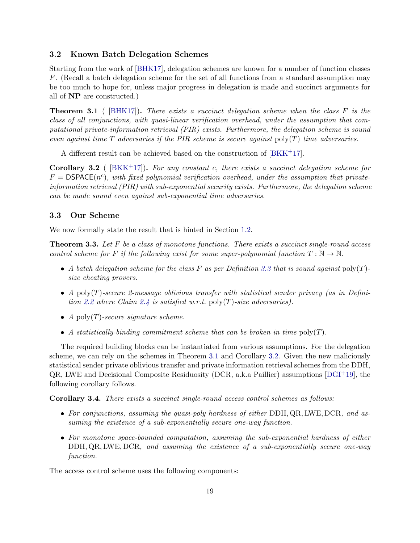### 3.2 Known Batch Delegation Schemes

Starting from the work of [\[BHK17\]](#page-22-0), delegation schemes are known for a number of function classes F. (Recall a batch delegation scheme for the set of all functions from a standard assumption may be too much to hope for, unless major progress in delegation is made and succinct arguments for all of NP are constructed.)

<span id="page-18-0"></span>**Theorem 3.1** (  $[BHK17]$ ). There exists a succinct delegation scheme when the class F is the class of all conjunctions, with quasi-linear verification overhead, under the assumption that computational private-information retrieval (PIR) exists. Furthermore, the delegation scheme is sound even against time  $T$  adversaries if the PIR scheme is secure against  $poly(T)$  time adversaries.

A different result can be achieved based on the construction of  $[BKK^+17]$  $[BKK^+17]$ .

<span id="page-18-1"></span>**Corollary 3.2** ( $[BKK^+17]$  $[BKK^+17]$ ). For any constant c, there exists a succinct delegation scheme for  $F = \mathsf{DSPACE}(n^c)$ , with fixed polynomial verification overhead, under the assumption that privateinformation retrieval (PIR) with sub-exponential security exists. Furthermore, the delegation scheme can be made sound even against sub-exponential time adversaries.

#### 3.3 Our Scheme

We now formally state the result that is hinted in Section [1.2.](#page-1-0)

<span id="page-18-2"></span>**Theorem 3.3.** Let  $F$  be a class of monotone functions. There exists a succinct single-round access control scheme for F if the following exist for some super-polynomial function  $T : \mathbb{N} \to \mathbb{N}$ .

- A batch delegation scheme for the class F as per Definition [3.3](#page-17-0) that is sound against  $poly(T)$ size cheating provers.
- A poly $(T)$ -secure 2-message oblivious transfer with statistical sender privacy (as in Defini-tion [2.2](#page-5-0) where Claim [2.4](#page-8-0) is satisfied w.r.t.  $\text{poly}(T)$ -size adversaries).
- A poly $(T)$ -secure signature scheme.
- A statistically-binding commitment scheme that can be broken in time  $\text{poly}(T)$ .

The required building blocks can be instantiated from various assumptions. For the delegation scheme, we can rely on the schemes in Theorem [3.1](#page-18-0) and Corollary [3.2.](#page-18-1) Given the new maliciously statistical sender private oblivious transfer and private information retrieval schemes from the DDH, QR, LWE and Decisional Composite Residuosity (DCR, a.k.a Paillier) assumptions [\[DGI](#page-22-10)+19], the following corollary follows.

Corollary 3.4. There exists a succinct single-round access control schemes as follows:

- For conjunctions, assuming the quasi-poly hardness of either DDH, QR, LWE, DCR, and assuming the existence of a sub-exponentially secure one-way function.
- For monotone space-bounded computation, assuming the sub-exponential hardness of either DDH, QR, LWE, DCR, and assuming the existence of a sub-exponentially secure one-way function.

The access control scheme uses the following components: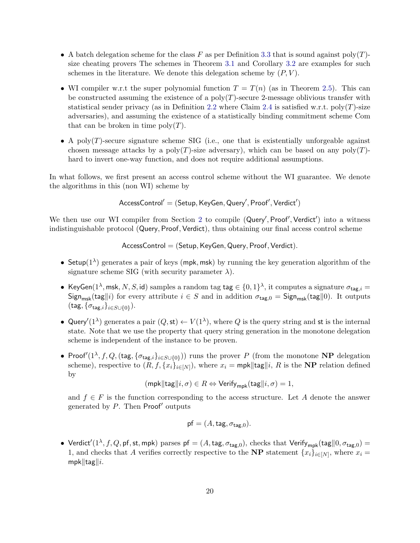- A batch delegation scheme for the class F as per Definition [3.3](#page-17-0) that is sound against poly(T)size cheating provers The schemes in Theorem [3.1](#page-18-0) and Corollary [3.2](#page-18-1) are examples for such schemes in the literature. We denote this delegation scheme by  $(P, V)$ .
- WI compiler w.r.t the super polynomial function  $T = T(n)$  (as in Theorem [2.5\)](#page-9-2). This can be constructed assuming the existence of a  $poly(T)$ -secure 2-message oblivious transfer with statistical sender privacy (as in Definition [2.2](#page-5-0) where Claim [2.4](#page-8-0) is satisfied w.r.t.  $poly(T)$ -size adversaries), and assuming the existence of a statistically binding commitment scheme Com that can be broken in time  $\text{poly}(T)$ .
- A poly $(T)$ -secure signature scheme SIG (i.e., one that is existentially unforgeable against chosen message attacks by a  $poly(T)$ -size adversary), which can be based on any  $poly(T)$ hard to invert one-way function, and does not require additional assumptions.

In what follows, we first present an access control scheme without the WI guarantee. We denote the algorithms in this (non WI) scheme by

```
\mathsf{AccessControl}' = (\mathsf{Setup}, \mathsf{KeyGen}, \mathsf{Query}', \mathsf{Proof}', \mathsf{Verdict}')
```
We then use our WI compiler from Section [2](#page-4-0) to compile (Query', Proof', Verdict') into a witness indistinguishable protocol (Query, Proof, Verdict), thus obtaining our final access control scheme

 $AccessControl = (Setup, KeyGen, Query, Proof, Verdict).$ 

- Setup( $1^{\lambda}$ ) generates a pair of keys (mpk, msk) by running the key generation algorithm of the signature scheme SIG (with security parameter  $\lambda$ ).
- KeyGen(1<sup> $\lambda$ </sup>, msk, N, S, id) samples a random tag tag  $\in \{0,1\}^{\lambda}$ , it computes a signature  $\sigma_{\text{tag},i} =$ Sign<sub>msk</sub>(tag||i) for every attribute  $i \in S$  and in addition  $\sigma_{\text{tag},0} = \text{Sign}_{\text{msk}}(\text{tag} |0)$ . It outputs  $(\mathsf{tag}, \{\sigma_{\mathsf{tag},i}\}_{i \in S \cup \{0\}}).$
- Query'(1<sup> $\lambda$ </sup>) generates a pair (Q, st)  $\leftarrow V(1^{\lambda})$ , where Q is the query string and st is the internal state. Note that we use the property that query string generation in the monotone delegation scheme is independent of the instance to be proven.
- Proof'(1<sup> $\lambda$ </sup>, f, Q, (tag, { $\sigma_{\text{tag},i}$ }<sub>i∈S∪{0}</sub>)) runs the prover P (from the monotone NP delegation scheme), respective to  $(R, f, \{x_i\}_{i \in [N]}),$  where  $x_i = \textsf{mpk} \|\textsf{tag}|i, R$  is the NP relation defined by

$$
(\mathsf{mpk} \|\mathsf{tag}\| i, \sigma) \in R \Leftrightarrow \mathsf{Verify}_{\mathsf{mpk}}(\mathsf{tag}\| i, \sigma) = 1,
$$

and  $f \in F$  is the function corresponding to the access structure. Let A denote the answer generated by  $P$ . Then  $Proof'$  outputs

$$
\mathsf{p}\mathsf{f}=(A,\mathsf{tag},\sigma_{\mathsf{tag},0}).
$$

• Verdict'(1<sup> $\lambda$ </sup>, f, Q, pf, st, mpk) parses pf = (A, tag,  $\sigma_{\text{tag},0}$ ), checks that Verify<sub>mpk</sub>(tag||0,  $\sigma_{\text{tag},0}$ ) = 1, and checks that A verifies correctly respective to the **NP** statement  $\{x_i\}_{i\in[N]}$ , where  $x_i =$  $mpk$ tag $\|i\|$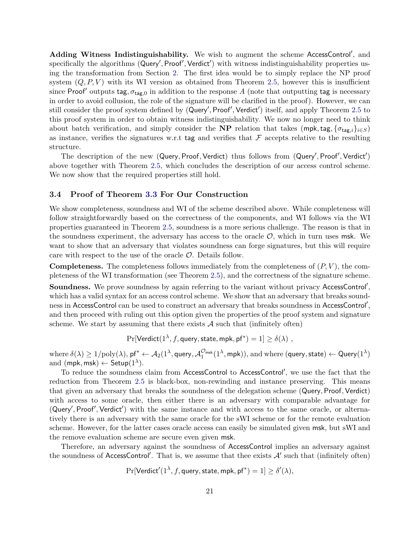Adding Witness Indistinguishability. We wish to augment the scheme AccessControl', and specifically the algorithms (Query', Proof', Verdict') with witness indistinguishability properties using the transformation from Section [2.](#page-4-0) The first idea would be to simply replace the NP proof system  $(Q, P, V)$  with its WI version as obtained from Theorem [2.5,](#page-9-2) however this is insufficient since Proof' outputs tag,  $\sigma_{\rm tag,0}$  in addition to the response A (note that outputting tag is necessary in order to avoid collusion, the role of the signature will be clarified in the proof). However, we can still consider the proof system defined by (Query', Proof', Verdict') itself, and apply Theorem [2.5](#page-9-2) to this proof system in order to obtain witness indistinguishability. We now no longer need to think about batch verification, and simply consider the **NP** relation that takes (mpk, tag,  $\{\sigma_{\text{tag},i}\}_{i\in S}$ ) as instance, verifies the signatures w.r.t tag and verifies that  $\mathcal F$  accepts relative to the resulting structure.

The description of the new (Query, Proof, Verdict) thus follows from (Query', Proof', Verdict') above together with Theorem [2.5,](#page-9-2) which concludes the description of our access control scheme. We now show that the required properties still hold.

#### 3.4 Proof of Theorem [3.3](#page-18-2) For Our Construction

We show completeness, soundness and WI of the scheme described above. While completeness will follow straightforwardly based on the correctness of the components, and WI follows via the WI properties guaranteed in Theorem [2.5,](#page-9-2) soundness is a more serious challenge. The reason is that in the soundness experiment, the adversary has access to the oracle  $\mathcal{O}$ , which in turn uses msk. We want to show that an adversary that violates soundness can forge signatures, but this will require care with respect to the use of the oracle  $\mathcal{O}$ . Details follow.

**Completeness.** The completeness follows immediately from the completeness of  $(P, V)$ , the completeness of the WI transformation (see Theorem [2.5\)](#page-9-2), and the correctness of the signature scheme.

Soundness. We prove soundness by again referring to the variant without privacy AccessControl', which has a valid syntax for an access control scheme. We show that an adversary that breaks soundness in AccessControl can be used to construct an adversary that breaks soundness in AccessControl', and then proceed with ruling out this option given the properties of the proof system and signature scheme. We start by assuming that there exists  $A$  such that (infinitely often)

$$
\Pr[\mathsf{Verdict}(1^\lambda, f, \mathsf{query}, \mathsf{state}, \mathsf{mpk}, \mathsf{pf}^*) = 1] \ge \delta(\lambda) \;,
$$

where  $\delta(\lambda)\geq 1/\mathrm{poly}(\lambda),$   $\mathsf{pf}^*\leftarrow \mathcal{A}_2(1^\lambda, \mathsf{query}, \mathcal{A}^{\mathcal{O}_{\mathsf{msk}}}_1(1^\lambda, \mathsf{mpk})),$  and where  $(\mathsf{query}, \mathsf{state})\leftarrow \mathsf{Query}(1^\lambda)$ and  $(\mathsf{mpk}, \mathsf{msk}) \leftarrow \mathsf{Setup}(1^{\lambda}).$ 

To reduce the soundness claim from AccessControl to AccessControl', we use the fact that the reduction from Theorem [2.5](#page-9-2) is black-box, non-rewinding and instance preserving. This means that given an adversary that breaks the soundness of the delegation scheme (Query, Proof, Verdict) with access to some oracle, then either there is an adversary with comparable advantage for (Query', Proof', Verdict') with the same instance and with access to the same oracle, or alternatively there is an adversary with the same oracle for the sWI scheme or for the remote evaluation scheme. However, for the latter cases oracle access can easily be simulated given msk, but sWI and the remove evaluation scheme are secure even given msk.

Therefore, an adversary against the soundness of AccessControl implies an adversary against the soundness of AccessControl'. That is, we assume that thee exists  $\mathcal{A}'$  such that (infinitely often)

$$
\Pr[\mathsf{Verdict}'(1^{\lambda}, f, \mathsf{query}, \mathsf{state}, \mathsf{mpk}, \mathsf{pf}^*) = 1] \ge \delta'(\lambda),
$$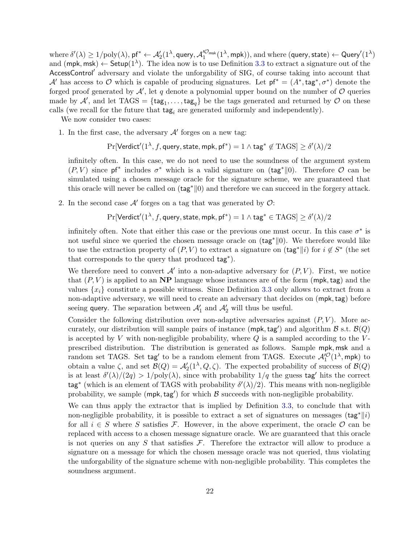$\text{where }\delta'(\lambda)\geq 1/\text{poly}(\lambda),\mathsf{p} \mathsf{f}^* \leftarrow \mathcal{A}'_2(1^\lambda,\mathsf{query},\mathcal{A}'^{\mathcal{O}_{\mathsf{msk}}}_1(1^\lambda,\mathsf{mpk})), \text{and where } (\mathsf{query},\mathsf{state}) \leftarrow \mathsf{Query}'(1^\lambda)$ and (mpk, msk)  $\leftarrow$  Setup(1<sup> $\lambda$ </sup>). The idea now is to use Definition [3.3](#page-17-0) to extract a signature out of the AccessControl' adversary and violate the unforgability of SIG, of course taking into account that A' has access to O which is capable of producing signatures. Let  $pf^* = (A^*, tag^*, \sigma^*)$  denote the forged proof generated by  $\mathcal{A}'$ , let q denote a polynomial upper bound on the number of  $\mathcal{O}$  queries made by  $\mathcal{A}'$ , and let  $TAGS = \{tag_1, \ldots, \text{tag}_q\}$  be the tags generated and returned by  $\mathcal O$  on these calls (we recall for the future that  $\text{tag}_i$  are generated uniformly and independently).

We now consider two cases:

1. In the first case, the adversary  $A'$  forges on a new tag:

$$
Pr[Verdict'(1^{\lambda}, f, query, state, mpk, pf^*) = 1 \land tag^* \notin TAGS] \ge \delta'(\lambda)/2
$$

infinitely often. In this case, we do not need to use the soundness of the argument system  $(P, V)$  since pf<sup>\*</sup> includes  $\sigma^*$  which is a valid signature on  $(\text{tag}^* \| 0)$ . Therefore  $\mathcal O$  can be simulated using a chosen message oracle for the signature scheme, we are guaranteed that this oracle will never be called on  $(\text{tag}^*||0)$  and therefore we can succeed in the forgery attack.

2. In the second case  $A'$  forges on a tag that was generated by  $\mathcal{O}$ :

$$
\Pr[\mathsf{Verdict}'(1^{\lambda}, f, \mathsf{query}, \mathsf{state}, \mathsf{mpk}, \mathsf{pf}^*) = 1 \land \mathsf{tag}^* \in \mathrm{TAGS}]\ge \delta'(\lambda)/2
$$

infinitely often. Note that either this case or the previous one must occur. In this case  $\sigma^*$  is not useful since we queried the chosen message oracle on  $(\text{tag}^*||0)$ . We therefore would like to use the extraction property of  $(P, V)$  to extract a signature on  $(\text{tag}^*||i)$  for  $i \notin S^*$  (the set that corresponds to the query that produced tag<sup>∗</sup> ).

We therefore need to convert  $A'$  into a non-adaptive adversary for  $(P, V)$ . First, we notice that  $(P, V)$  is applied to an **NP** language whose instances are of the form (mpk, tag) and the values  $\{x_i\}$  constitute a possible witness. Since Definition [3.3](#page-17-0) only allows to extract from a non-adaptive adversary, we will need to create an adversary that decides on  $(mpk, tag)$  before seeing query. The separation between  $\mathcal{A}'_1$  and  $\mathcal{A}'_2$  will thus be useful.

Consider the following distribution over non-adaptive adversaries against  $(P, V)$ . More accurately, our distribution will sample pairs of instance (mpk,  $\text{tag}'$ ) and algorithm  $\mathcal{B}$  s.t.  $\mathcal{B}(Q)$ is accepted by V with non-negligible probability, where  $Q$  is a sampled according to the Vprescribed distribution. The distribution is generated as follows. Sample mpk, msk and a random set TAGS. Set tag' to be a random element from TAGS. Execute  $\mathcal{A}_1^{\prime\mathcal{O}}(1^\lambda,\mathsf{mpk})$  to obtain a value  $\zeta$ , and set  $\mathcal{B}(Q) = \mathcal{A}'_2(1^{\lambda}, Q, \zeta)$ . The expected probability of success of  $\mathcal{B}(Q)$ is at least  $\delta'(\lambda)/(2q) > 1/\text{poly}(\lambda)$ , since with probability  $1/q$  the guess tag' hits the correct tag<sup>\*</sup> (which is an element of TAGS with probability  $\delta'(\lambda)/2$ ). This means with non-negligible probability, we sample  $(\text{mpk}, \text{tag}')$  for which  $\beta$  succeeds with non-negligible probability.

We can thus apply the extractor that is implied by Definition [3.3,](#page-17-0) to conclude that with non-negligible probability, it is possible to extract a set of signatures on messages (tag\* $|i\rangle$ ) for all  $i \in S$  where S satisfies F. However, in the above experiment, the oracle  $\mathcal O$  can be replaced with access to a chosen message signature oracle. We are guaranteed that this oracle is not queries on any S that satisfies  $\mathcal{F}$ . Therefore the extractor will allow to produce a signature on a message for which the chosen message oracle was not queried, thus violating the unforgability of the signature scheme with non-negligible probability. This completes the soundness argument.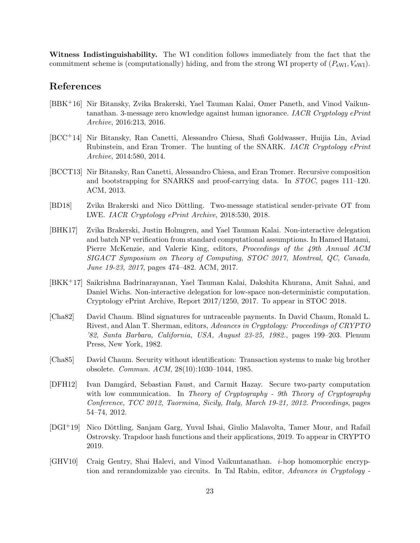Witness Indistinguishability. The WI condition follows immediately from the fact that the commitment scheme is (computationally) hiding, and from the strong WI property of  $(P_{sWI}, V_{sWI})$ .

# References

- <span id="page-22-5"></span>[BBK+16] Nir Bitansky, Zvika Brakerski, Yael Tauman Kalai, Omer Paneth, and Vinod Vaikuntanathan. 3-message zero knowledge against human ignorance. IACR Cryptology ePrint Archive, 2016:213, 2016.
- <span id="page-22-3"></span>[BCC+14] Nir Bitansky, Ran Canetti, Alessandro Chiesa, Shafi Goldwasser, Huijia Lin, Aviad Rubinstein, and Eran Tromer. The hunting of the SNARK. IACR Cryptology ePrint Archive, 2014:580, 2014.
- <span id="page-22-2"></span>[BCCT13] Nir Bitansky, Ran Canetti, Alessandro Chiesa, and Eran Tromer. Recursive composition and bootstrapping for SNARKS and proof-carrying data. In STOC, pages 111–120. ACM, 2013.
- <span id="page-22-8"></span>[BD18] Zvika Brakerski and Nico Döttling. Two-message statistical sender-private OT from LWE. IACR Cryptology ePrint Archive, 2018:530, 2018.
- <span id="page-22-0"></span>[BHK17] Zvika Brakerski, Justin Holmgren, and Yael Tauman Kalai. Non-interactive delegation and batch NP verification from standard computational assumptions. In Hamed Hatami, Pierre McKenzie, and Valerie King, editors, Proceedings of the 49th Annual ACM SIGACT Symposium on Theory of Computing, STOC 2017, Montreal, QC, Canada, June 19-23, 2017, pages 474–482. ACM, 2017.
- <span id="page-22-4"></span>[BKK+17] Saikrishna Badrinarayanan, Yael Tauman Kalai, Dakshita Khurana, Amit Sahai, and Daniel Wichs. Non-interactive delegation for low-space non-deterministic computation. Cryptology ePrint Archive, Report 2017/1250, 2017. To appear in STOC 2018.
- <span id="page-22-7"></span>[Cha82] David Chaum. Blind signatures for untraceable payments. In David Chaum, Ronald L. Rivest, and Alan T. Sherman, editors, Advances in Cryptology: Proceedings of CRYPTO '82, Santa Barbara, California, USA, August 23-25, 1982., pages 199–203. Plenum Press, New York, 1982.
- <span id="page-22-6"></span>[Cha85] David Chaum. Security without identification: Transaction systems to make big brother obsolete. Commun. ACM, 28(10):1030–1044, 1985.
- <span id="page-22-1"></span>[DFH12] Ivan Damgård, Sebastian Faust, and Carmit Hazay. Secure two-party computation with low communication. In Theory of Cryptography - 9th Theory of Cryptography Conference, TCC 2012, Taormina, Sicily, Italy, March 19-21, 2012. Proceedings, pages 54–74, 2012.
- <span id="page-22-10"></span>[DGI+19] Nico Döttling, Sanjam Garg, Yuval Ishai, Giulio Malavolta, Tamer Mour, and Rafail Ostrovsky. Trapdoor hash functions and their applications, 2019. To appear in CRYPTO 2019.
- <span id="page-22-9"></span>[GHV10] Craig Gentry, Shai Halevi, and Vinod Vaikuntanathan. i-hop homomorphic encryption and rerandomizable yao circuits. In Tal Rabin, editor, Advances in Cryptology -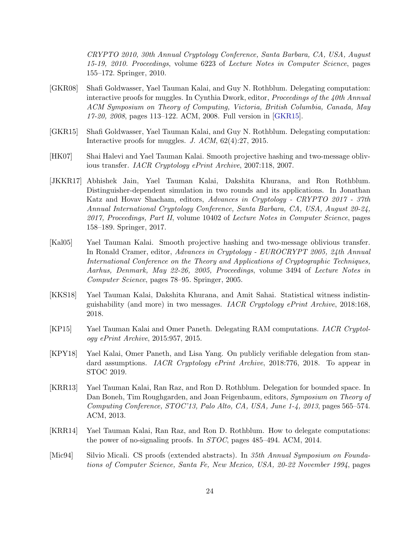CRYPTO 2010, 30th Annual Cryptology Conference, Santa Barbara, CA, USA, August 15-19, 2010. Proceedings, volume 6223 of Lecture Notes in Computer Science, pages 155–172. Springer, 2010.

- <span id="page-23-0"></span>[GKR08] Shafi Goldwasser, Yael Tauman Kalai, and Guy N. Rothblum. Delegating computation: interactive proofs for muggles. In Cynthia Dwork, editor, Proceedings of the 40th Annual ACM Symposium on Theory of Computing, Victoria, British Columbia, Canada, May 17-20, 2008, pages 113–122. ACM, 2008. Full version in [\[GKR15\]](#page-23-10).
- <span id="page-23-10"></span>[GKR15] Shafi Goldwasser, Yael Tauman Kalai, and Guy N. Rothblum. Delegating computation: Interactive proofs for muggles. J. ACM, 62(4):27, 2015.
- <span id="page-23-9"></span>[HK07] Shai Halevi and Yael Tauman Kalai. Smooth projective hashing and two-message oblivious transfer. IACR Cryptology ePrint Archive, 2007:118, 2007.
- <span id="page-23-6"></span>[JKKR17] Abhishek Jain, Yael Tauman Kalai, Dakshita Khurana, and Ron Rothblum. Distinguisher-dependent simulation in two rounds and its applications. In Jonathan Katz and Hovav Shacham, editors, Advances in Cryptology - CRYPTO 2017 - 37th Annual International Cryptology Conference, Santa Barbara, CA, USA, August 20-24, 2017, Proceedings, Part II, volume 10402 of Lecture Notes in Computer Science, pages 158–189. Springer, 2017.
- <span id="page-23-8"></span>[Kal05] Yael Tauman Kalai. Smooth projective hashing and two-message oblivious transfer. In Ronald Cramer, editor, Advances in Cryptology - EUROCRYPT 2005, 24th Annual International Conference on the Theory and Applications of Cryptographic Techniques, Aarhus, Denmark, May 22-26, 2005, Proceedings, volume 3494 of Lecture Notes in Computer Science, pages 78–95. Springer, 2005.
- <span id="page-23-7"></span>[KKS18] Yael Tauman Kalai, Dakshita Khurana, and Amit Sahai. Statistical witness indistinguishability (and more) in two messages. IACR Cryptology ePrint Archive, 2018:168, 2018.
- <span id="page-23-3"></span>[KP15] Yael Tauman Kalai and Omer Paneth. Delegating RAM computations. IACR Cryptology ePrint Archive, 2015:957, 2015.
- <span id="page-23-4"></span>[KPY18] Yael Kalai, Omer Paneth, and Lisa Yang. On publicly verifiable delegation from standard assumptions. IACR Cryptology ePrint Archive, 2018:776, 2018. To appear in STOC 2019.
- <span id="page-23-1"></span>[KRR13] Yael Tauman Kalai, Ran Raz, and Ron D. Rothblum. Delegation for bounded space. In Dan Boneh, Tim Roughgarden, and Joan Feigenbaum, editors, Symposium on Theory of Computing Conference, STOC'13, Palo Alto, CA, USA, June 1-4, 2013, pages 565–574. ACM, 2013.
- <span id="page-23-2"></span>[KRR14] Yael Tauman Kalai, Ran Raz, and Ron D. Rothblum. How to delegate computations: the power of no-signaling proofs. In STOC, pages 485–494. ACM, 2014.
- <span id="page-23-5"></span>[Mic94] Silvio Micali. CS proofs (extended abstracts). In 35th Annual Symposium on Foundations of Computer Science, Santa Fe, New Mexico, USA, 20-22 November 1994, pages